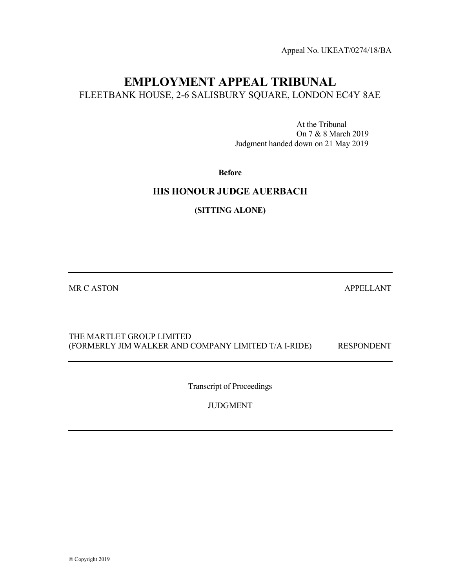Appeal No. UKEAT/0274/18/BA

# EMPLOYMENT APPEAL TRIBUNAL FLEETBANK HOUSE, 2-6 SALISBURY SQUARE, LONDON EC4Y 8AE

 At the Tribunal On 7 & 8 March 2019 Judgment handed down on 21 May 2019

Before

## HIS HONOUR JUDGE AUERBACH

(SITTING ALONE)

MR C ASTON APPELLANT

## THE MARTLET GROUP LIMITED (FORMERLY JIM WALKER AND COMPANY LIMITED T/A I-RIDE) RESPONDENT

Transcript of Proceedings

JUDGMENT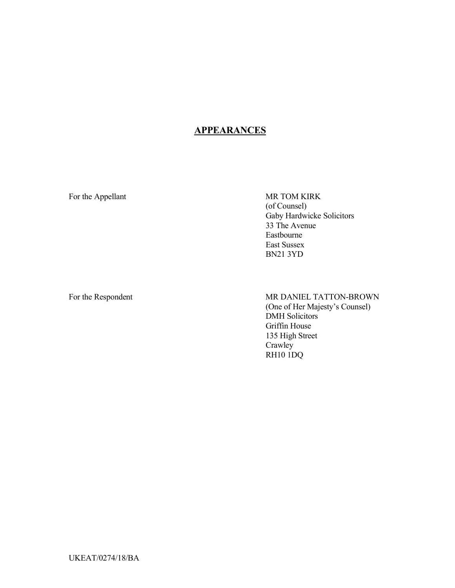# **APPEARANCES**

For the Appellant MR TOM KIRK

(of Counsel) Gaby Hardwicke Solicitors 33 The Avenue Eastbourne East Sussex BN21 3YD

For the Respondent MR DANIEL TATTON-BROWN (One of Her Majesty's Counsel) DMH Solicitors Griffin House 135 High Street Crawley RH10 1DQ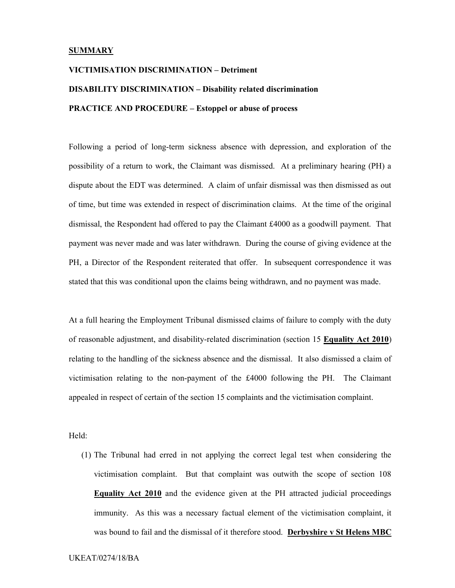#### **SUMMARY**

# VICTIMISATION DISCRIMINATION – Detriment DISABILITY DISCRIMINATION – Disability related discrimination PRACTICE AND PROCEDURE – Estoppel or abuse of process

Following a period of long-term sickness absence with depression, and exploration of the possibility of a return to work, the Claimant was dismissed. At a preliminary hearing (PH) a dispute about the EDT was determined. A claim of unfair dismissal was then dismissed as out of time, but time was extended in respect of discrimination claims. At the time of the original dismissal, the Respondent had offered to pay the Claimant £4000 as a goodwill payment. That payment was never made and was later withdrawn. During the course of giving evidence at the PH, a Director of the Respondent reiterated that offer. In subsequent correspondence it was stated that this was conditional upon the claims being withdrawn, and no payment was made.

At a full hearing the Employment Tribunal dismissed claims of failure to comply with the duty of reasonable adjustment, and disability-related discrimination (section 15 Equality Act 2010) relating to the handling of the sickness absence and the dismissal. It also dismissed a claim of victimisation relating to the non-payment of the £4000 following the PH. The Claimant appealed in respect of certain of the section 15 complaints and the victimisation complaint.

Held:

(1) The Tribunal had erred in not applying the correct legal test when considering the victimisation complaint. But that complaint was outwith the scope of section 108 Equality Act 2010 and the evidence given at the PH attracted judicial proceedings immunity. As this was a necessary factual element of the victimisation complaint, it was bound to fail and the dismissal of it therefore stood. Derbyshire v St Helens MBC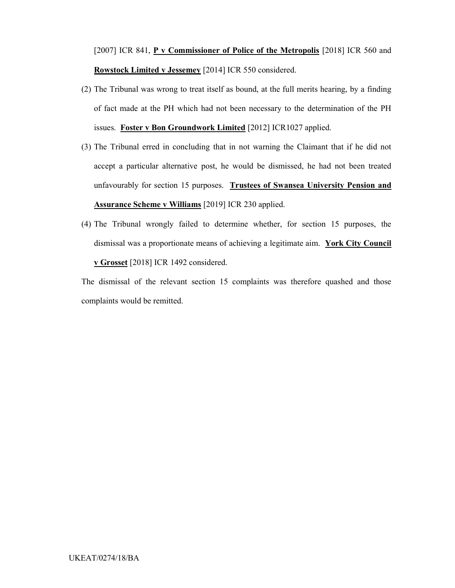[2007] ICR 841, P v Commissioner of Police of the Metropolis [2018] ICR 560 and Rowstock Limited v Jessemey [2014] ICR 550 considered.

- (2) The Tribunal was wrong to treat itself as bound, at the full merits hearing, by a finding of fact made at the PH which had not been necessary to the determination of the PH issues. Foster v Bon Groundwork Limited [2012] ICR1027 applied.
- (3) The Tribunal erred in concluding that in not warning the Claimant that if he did not accept a particular alternative post, he would be dismissed, he had not been treated unfavourably for section 15 purposes. Trustees of Swansea University Pension and Assurance Scheme v Williams [2019] ICR 230 applied.
- (4) The Tribunal wrongly failed to determine whether, for section 15 purposes, the dismissal was a proportionate means of achieving a legitimate aim. York City Council v Grosset [2018] ICR 1492 considered.

The dismissal of the relevant section 15 complaints was therefore quashed and those complaints would be remitted.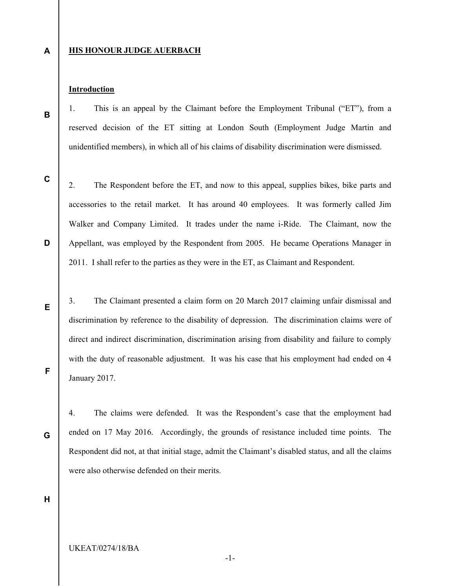A

B

#### HIS HONOUR JUDGE AUERBACH

#### Introduction

1. This is an appeal by the Claimant before the Employment Tribunal ("ET"), from a reserved decision of the ET sitting at London South (Employment Judge Martin and unidentified members), in which all of his claims of disability discrimination were dismissed.

C

D

E

F

2. The Respondent before the ET, and now to this appeal, supplies bikes, bike parts and accessories to the retail market. It has around 40 employees. It was formerly called Jim Walker and Company Limited. It trades under the name i-Ride. The Claimant, now the Appellant, was employed by the Respondent from 2005. He became Operations Manager in 2011. I shall refer to the parties as they were in the ET, as Claimant and Respondent.

3. The Claimant presented a claim form on 20 March 2017 claiming unfair dismissal and discrimination by reference to the disability of depression. The discrimination claims were of direct and indirect discrimination, discrimination arising from disability and failure to comply with the duty of reasonable adjustment. It was his case that his employment had ended on 4 January 2017.

4. The claims were defended. It was the Respondent's case that the employment had ended on 17 May 2016. Accordingly, the grounds of resistance included time points. The Respondent did not, at that initial stage, admit the Claimant's disabled status, and all the claims were also otherwise defended on their merits.

H

G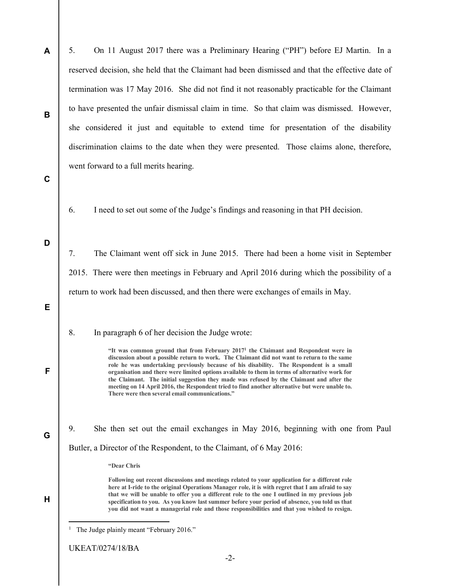| A | 5.<br>On 11 August 2017 there was a Preliminary Hearing ("PH") before EJ Martin. In a                                                                                                                                                                                                                                                                                                                                                                                                                                                                                                                                                      |
|---|--------------------------------------------------------------------------------------------------------------------------------------------------------------------------------------------------------------------------------------------------------------------------------------------------------------------------------------------------------------------------------------------------------------------------------------------------------------------------------------------------------------------------------------------------------------------------------------------------------------------------------------------|
|   | reserved decision, she held that the Claimant had been dismissed and that the effective date of                                                                                                                                                                                                                                                                                                                                                                                                                                                                                                                                            |
|   | termination was 17 May 2016. She did not find it not reasonably practicable for the Claimant                                                                                                                                                                                                                                                                                                                                                                                                                                                                                                                                               |
| В | to have presented the unfair dismissal claim in time. So that claim was dismissed. However,                                                                                                                                                                                                                                                                                                                                                                                                                                                                                                                                                |
|   | she considered it just and equitable to extend time for presentation of the disability                                                                                                                                                                                                                                                                                                                                                                                                                                                                                                                                                     |
|   | discrimination claims to the date when they were presented. Those claims alone, therefore,                                                                                                                                                                                                                                                                                                                                                                                                                                                                                                                                                 |
|   | went forward to a full merits hearing.                                                                                                                                                                                                                                                                                                                                                                                                                                                                                                                                                                                                     |
| C |                                                                                                                                                                                                                                                                                                                                                                                                                                                                                                                                                                                                                                            |
|   | I need to set out some of the Judge's findings and reasoning in that PH decision.<br>6.                                                                                                                                                                                                                                                                                                                                                                                                                                                                                                                                                    |
|   |                                                                                                                                                                                                                                                                                                                                                                                                                                                                                                                                                                                                                                            |
| D | The Claimant went off sick in June 2015. There had been a home visit in September<br>7.                                                                                                                                                                                                                                                                                                                                                                                                                                                                                                                                                    |
|   | 2015. There were then meetings in February and April 2016 during which the possibility of a                                                                                                                                                                                                                                                                                                                                                                                                                                                                                                                                                |
|   | return to work had been discussed, and then there were exchanges of emails in May.                                                                                                                                                                                                                                                                                                                                                                                                                                                                                                                                                         |
| Е |                                                                                                                                                                                                                                                                                                                                                                                                                                                                                                                                                                                                                                            |
|   | In paragraph 6 of her decision the Judge wrote:<br>8.                                                                                                                                                                                                                                                                                                                                                                                                                                                                                                                                                                                      |
| F | "It was common ground that from February 2017 <sup>1</sup> the Claimant and Respondent were in<br>discussion about a possible return to work. The Claimant did not want to return to the same<br>role he was undertaking previously because of his disability. The Respondent is a small<br>organisation and there were limited options available to them in terms of alternative work for<br>the Claimant. The initial suggestion they made was refused by the Claimant and after the<br>meeting on 14 April 2016, the Respondent tried to find another alternative but were unable to.<br>There were then several email communications." |
| G | 9.<br>She then set out the email exchanges in May 2016, beginning with one from Paul                                                                                                                                                                                                                                                                                                                                                                                                                                                                                                                                                       |
|   | Butler, a Director of the Respondent, to the Claimant, of 6 May 2016:                                                                                                                                                                                                                                                                                                                                                                                                                                                                                                                                                                      |
|   | "Dear Chris                                                                                                                                                                                                                                                                                                                                                                                                                                                                                                                                                                                                                                |
| Н | Following out recent discussions and meetings related to your application for a different role<br>here at I-ride to the original Operations Manager role, it is with regret that I am afraid to say<br>that we will be unable to offer you a different role to the one I outlined in my previous job<br>specification to you. As you know last summer before your period of absence, you told us that<br>you did not want a managerial role and those responsibilities and that you wished to resign.                                                                                                                                      |
|   | The Judge plainly meant "February 2016."<br>$\mathbf{1}$                                                                                                                                                                                                                                                                                                                                                                                                                                                                                                                                                                                   |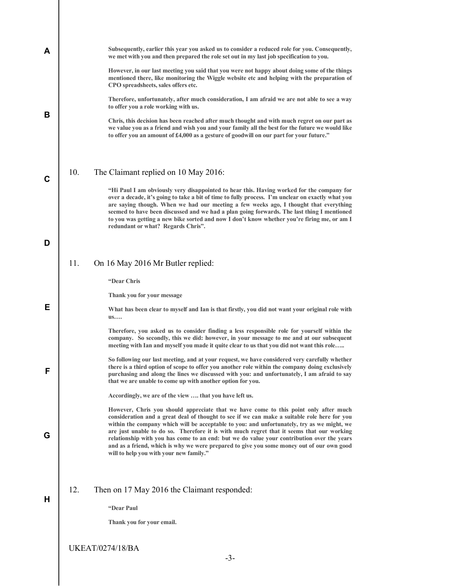| A |     | Subsequently, earlier this year you asked us to consider a reduced role for you. Consequently,<br>we met with you and then prepared the role set out in my last job specification to you.                                                                                                                                                                                                                                                                                                                                                                                  |
|---|-----|----------------------------------------------------------------------------------------------------------------------------------------------------------------------------------------------------------------------------------------------------------------------------------------------------------------------------------------------------------------------------------------------------------------------------------------------------------------------------------------------------------------------------------------------------------------------------|
|   |     | However, in our last meeting you said that you were not happy about doing some of the things<br>mentioned there, like monitoring the Wiggle website etc and helping with the preparation of<br>CPO spreadsheets, sales offers etc.                                                                                                                                                                                                                                                                                                                                         |
|   |     | Therefore, unfortunately, after much consideration, I am afraid we are not able to see a way<br>to offer you a role working with us.                                                                                                                                                                                                                                                                                                                                                                                                                                       |
| B |     | Chris, this decision has been reached after much thought and with much regret on our part as<br>we value you as a friend and wish you and your family all the best for the future we would like<br>to offer you an amount of £4,000 as a gesture of goodwill on our part for your future."                                                                                                                                                                                                                                                                                 |
| C | 10. | The Claimant replied on 10 May 2016:                                                                                                                                                                                                                                                                                                                                                                                                                                                                                                                                       |
|   |     | "Hi Paul I am obviously very disappointed to hear this. Having worked for the company for<br>over a decade, it's going to take a bit of time to fully process. I'm unclear on exactly what you<br>are saying though. When we had our meeting a few weeks ago, I thought that everything<br>seemed to have been discussed and we had a plan going forwards. The last thing I mentioned<br>to you was getting a new bike sorted and now I don't know whether you're firing me, or am I<br>redundant or what? Regards Chris".                                                 |
| D |     |                                                                                                                                                                                                                                                                                                                                                                                                                                                                                                                                                                            |
|   | 11. | On 16 May 2016 Mr Butler replied:                                                                                                                                                                                                                                                                                                                                                                                                                                                                                                                                          |
|   |     | "Dear Chris                                                                                                                                                                                                                                                                                                                                                                                                                                                                                                                                                                |
|   |     | Thank you for your message                                                                                                                                                                                                                                                                                                                                                                                                                                                                                                                                                 |
| Е |     | What has been clear to myself and Ian is that firstly, you did not want your original role with<br>us                                                                                                                                                                                                                                                                                                                                                                                                                                                                      |
|   |     | Therefore, you asked us to consider finding a less responsible role for yourself within the<br>company. So secondly, this we did: however, in your message to me and at our subsequent<br>meeting with Ian and myself you made it quite clear to us that you did not want this role                                                                                                                                                                                                                                                                                        |
| F |     | So following our last meeting, and at your request, we have considered very carefully whether<br>there is a third option of scope to offer you another role within the company doing exclusively<br>purchasing and along the lines we discussed with you: and unfortunately, I am afraid to say<br>that we are unable to come up with another option for you.                                                                                                                                                                                                              |
|   |     | Accordingly, we are of the view  that you have left us.                                                                                                                                                                                                                                                                                                                                                                                                                                                                                                                    |
| G |     | However, Chris you should appreciate that we have come to this point only after much<br>consideration and a great deal of thought to see if we can make a suitable role here for you<br>within the company which will be acceptable to you: and unfortunately, try as we might, we<br>are just unable to do so. Therefore it is with much regret that it seems that our working<br>relationship with you has come to an end: but we do value your contribution over the years<br>and as a friend, which is why we were prepared to give you some money out of our own good |
|   |     | will to help you with your new family."                                                                                                                                                                                                                                                                                                                                                                                                                                                                                                                                    |
| H | 12. | Then on 17 May 2016 the Claimant responded:                                                                                                                                                                                                                                                                                                                                                                                                                                                                                                                                |
|   |     | "Dear Paul                                                                                                                                                                                                                                                                                                                                                                                                                                                                                                                                                                 |
|   |     | Thank you for your email.                                                                                                                                                                                                                                                                                                                                                                                                                                                                                                                                                  |
|   |     | <b>UKEAT/0274/18/BA</b>                                                                                                                                                                                                                                                                                                                                                                                                                                                                                                                                                    |
|   |     | $-3-$                                                                                                                                                                                                                                                                                                                                                                                                                                                                                                                                                                      |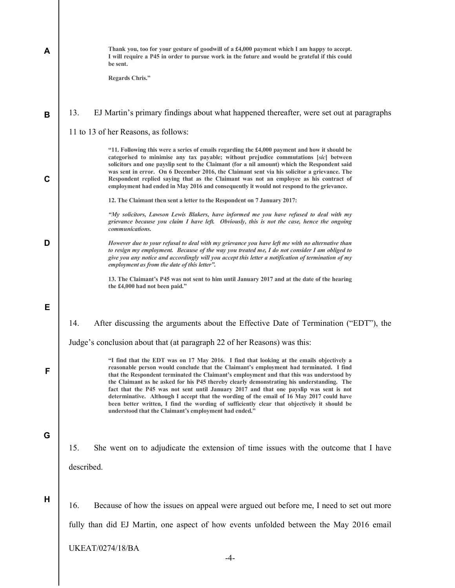| A | Thank you, too for your gesture of goodwill of a £4,000 payment which I am happy to accept.<br>I will require a P45 in order to pursue work in the future and would be grateful if this could<br>be sent.<br><b>Regards Chris."</b>                                                                                                                                                                                                                                                                                                                                                                                                                                                                                       |
|---|---------------------------------------------------------------------------------------------------------------------------------------------------------------------------------------------------------------------------------------------------------------------------------------------------------------------------------------------------------------------------------------------------------------------------------------------------------------------------------------------------------------------------------------------------------------------------------------------------------------------------------------------------------------------------------------------------------------------------|
| B | 13.<br>EJ Martin's primary findings about what happened thereafter, were set out at paragraphs<br>11 to 13 of her Reasons, as follows:                                                                                                                                                                                                                                                                                                                                                                                                                                                                                                                                                                                    |
| C | "11. Following this were a series of emails regarding the £4,000 payment and how it should be<br>categorised to minimise any tax payable; without prejudice commutations [sic] between<br>solicitors and one payslip sent to the Claimant (for a nil amount) which the Respondent said<br>was sent in error. On 6 December 2016, the Claimant sent via his solicitor a grievance. The<br>Respondent replied saying that as the Claimant was not an employee as his contract of<br>employment had ended in May 2016 and consequently it would not respond to the grievance.                                                                                                                                                |
|   | 12. The Claimant then sent a letter to the Respondent on 7 January 2017:                                                                                                                                                                                                                                                                                                                                                                                                                                                                                                                                                                                                                                                  |
|   | "My solicitors, Lawson Lewis Blakers, have informed me you have refused to deal with my<br>grievance because you claim I have left. Obviously, this is not the case, hence the ongoing<br>communications.                                                                                                                                                                                                                                                                                                                                                                                                                                                                                                                 |
| D | However due to your refusal to deal with my grievance you have left me with no alternative than<br>to resign my employment. Because of the way you treated me, I do not consider I am obliged to<br>give you any notice and accordingly will you accept this letter a notification of termination of my<br>employment as from the date of this letter".                                                                                                                                                                                                                                                                                                                                                                   |
|   | 13. The Claimant's P45 was not sent to him until January 2017 and at the date of the hearing<br>the £4,000 had not been paid."                                                                                                                                                                                                                                                                                                                                                                                                                                                                                                                                                                                            |
| Е |                                                                                                                                                                                                                                                                                                                                                                                                                                                                                                                                                                                                                                                                                                                           |
|   | 14.<br>After discussing the arguments about the Effective Date of Termination ("EDT"), the                                                                                                                                                                                                                                                                                                                                                                                                                                                                                                                                                                                                                                |
|   | Judge's conclusion about that (at paragraph 22 of her Reasons) was this:                                                                                                                                                                                                                                                                                                                                                                                                                                                                                                                                                                                                                                                  |
| F | "I find that the EDT was on 17 May 2016. I find that looking at the emails objectively a<br>reasonable person would conclude that the Claimant's employment had terminated. I find<br>that the Respondent terminated the Claimant's employment and that this was understood by<br>the Claimant as he asked for his P45 thereby clearly demonstrating his understanding. The<br>fact that the P45 was not sent until January 2017 and that one payslip was sent is not<br>determinative. Although I accept that the wording of the email of 16 May 2017 could have<br>been better written, I find the wording of sufficiently clear that objectively it should be<br>understood that the Claimant's employment had ended." |
|   |                                                                                                                                                                                                                                                                                                                                                                                                                                                                                                                                                                                                                                                                                                                           |
| G | She went on to adjudicate the extension of time issues with the outcome that I have<br>15.                                                                                                                                                                                                                                                                                                                                                                                                                                                                                                                                                                                                                                |
|   | described.                                                                                                                                                                                                                                                                                                                                                                                                                                                                                                                                                                                                                                                                                                                |
| Н | Because of how the issues on appeal were argued out before me, I need to set out more<br>16.                                                                                                                                                                                                                                                                                                                                                                                                                                                                                                                                                                                                                              |
|   | fully than did EJ Martin, one aspect of how events unfolded between the May 2016 email                                                                                                                                                                                                                                                                                                                                                                                                                                                                                                                                                                                                                                    |
|   |                                                                                                                                                                                                                                                                                                                                                                                                                                                                                                                                                                                                                                                                                                                           |
|   | <b>UKEAT/0274/18/BA</b>                                                                                                                                                                                                                                                                                                                                                                                                                                                                                                                                                                                                                                                                                                   |

-4-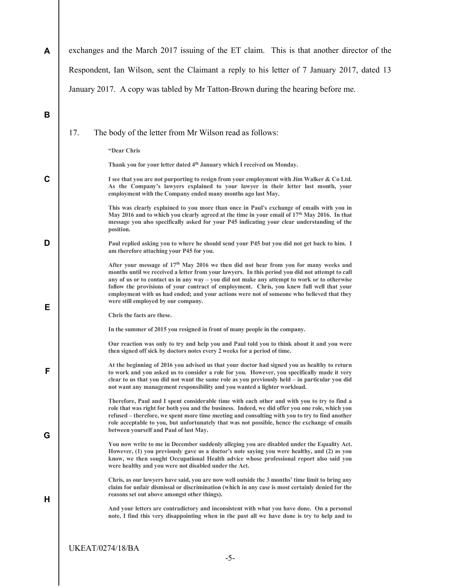A B C D E F G H exchanges and the March 2017 issuing of the ET claim. This is that another director of the Respondent, Ian Wilson, sent the Claimant a reply to his letter of 7 January 2017, dated 13 January 2017. A copy was tabled by Mr Tatton-Brown during the hearing before me. 17. The body of the letter from Mr Wilson read as follows: "Dear Chris Thank you for your letter dated 4<sup>th</sup> January which I received on Monday. I see that you are not purporting to resign from your employment with Jim Walker & Co Ltd. As the Company's lawyers explained to your lawyer in their letter last month, your employment with the Company ended many months ago last May. This was clearly explained to you more than once in Paul's exchange of emails with you in May 2016 and to which you clearly agreed at the time in your email of  $17<sup>th</sup>$  May 2016. In that message you also specifically asked for your P45 indicating your clear understanding of the position. Paul replied asking you to where he should send your P45 but you did not get back to him. I am therefore attaching your P45 for you. After your message of  $17<sup>th</sup>$  May 2016 we then did not hear from you for many weeks and months until we received a letter from your lawyers. In this period you did not attempt to call any of us or to contact us in any way – you did not make any attempt to work or to otherwise follow the provisions of your contract of employment. Chris, you knew full well that your employment with us had ended; and your actions were not of someone who believed that they were still employed by our company. Chris the facts are these. In the summer of 2015 you resigned in front of many people in the company. Our reaction was only to try and help you and Paul told you to think about it and you were then signed off sick by doctors notes every 2 weeks for a period of time. At the beginning of 2016 you advised us that your doctor had signed you as healthy to return to work and you asked us to consider a role for you. However, you specifically made it very clear to us that you did not want the same role as you previously held – in particular you did not want any management responsibility and you wanted a lighter workload. Therefore, Paul and I spent considerable time with each other and with you to try to find a role that was right for both you and the business. Indeed, we did offer you one role, which you refused – therefore, we spent more time meeting and consulting with you to try to find another role acceptable to you, but unfortunately that was not possible, hence the exchange of emails between yourself and Paul of last May. You now write to me in December suddenly alleging you are disabled under the Equality Act. However, (1) you previously gave us a doctor's note saying you were healthy, and (2) as you know, we then sought Occupational Health advice whose professional report also said you were healthy and you were not disabled under the Act. Chris, as our lawyers have said, you are now well outside the 3 months' time limit to bring any claim for unfair dismissal or discrimination (which in any case is most certainly denied for the reasons set out above amongst other things). And your letters are contradictory and inconsistent with what you have done. On a personal note, I find this very disappointing when in the past all we have done is try to help and to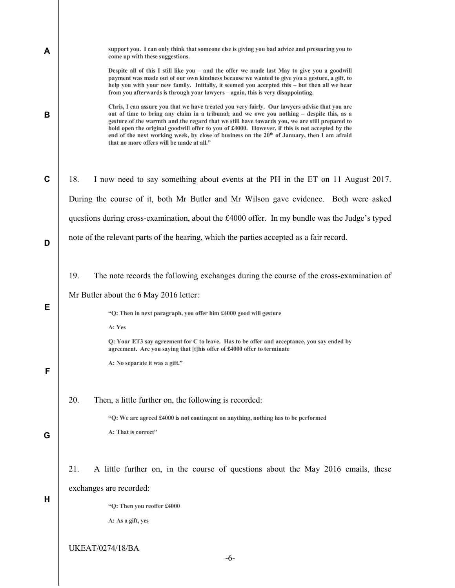| A | support you. I can only think that someone else is giving you bad advice and pressuring you to<br>come up with these suggestions.                                                                                                                                                                                                                                                                                                                                                                                                                     |
|---|-------------------------------------------------------------------------------------------------------------------------------------------------------------------------------------------------------------------------------------------------------------------------------------------------------------------------------------------------------------------------------------------------------------------------------------------------------------------------------------------------------------------------------------------------------|
|   | Despite all of this I still like you – and the offer we made last May to give you a goodwill<br>payment was made out of our own kindness because we wanted to give you a gesture, a gift, to<br>help you with your new family. Initially, it seemed you accepted this - but then all we hear<br>from you afterwards is through your lawyers - again, this is very disappointing.                                                                                                                                                                      |
| В | Chris, I can assure you that we have treated you very fairly. Our lawyers advise that you are<br>out of time to bring any claim in a tribunal; and we owe you nothing – despite this, as a<br>gesture of the warmth and the regard that we still have towards you, we are still prepared to<br>hold open the original goodwill offer to you of £4000. However, if this is not accepted by the<br>end of the next working week, by close of business on the 20 <sup>th</sup> of January, then I am afraid<br>that no more offers will be made at all." |
| C | 18.<br>I now need to say something about events at the PH in the ET on 11 August 2017.                                                                                                                                                                                                                                                                                                                                                                                                                                                                |
|   | During the course of it, both Mr Butler and Mr Wilson gave evidence. Both were asked                                                                                                                                                                                                                                                                                                                                                                                                                                                                  |
|   | questions during cross-examination, about the £4000 offer. In my bundle was the Judge's typed                                                                                                                                                                                                                                                                                                                                                                                                                                                         |
| D | note of the relevant parts of the hearing, which the parties accepted as a fair record.                                                                                                                                                                                                                                                                                                                                                                                                                                                               |
|   | 19.<br>The note records the following exchanges during the course of the cross-examination of                                                                                                                                                                                                                                                                                                                                                                                                                                                         |
|   | Mr Butler about the 6 May 2016 letter:                                                                                                                                                                                                                                                                                                                                                                                                                                                                                                                |
| Е | "Q: Then in next paragraph, you offer him £4000 good will gesture                                                                                                                                                                                                                                                                                                                                                                                                                                                                                     |
|   | A: Yes                                                                                                                                                                                                                                                                                                                                                                                                                                                                                                                                                |
|   | Q: Your ET3 say agreement for C to leave. Has to be offer and acceptance, you say ended by<br>agreement. Are you saying that [t] his offer of £4000 offer to terminate                                                                                                                                                                                                                                                                                                                                                                                |
|   | A: No separate it was a gift."                                                                                                                                                                                                                                                                                                                                                                                                                                                                                                                        |
|   | 20.<br>Then, a little further on, the following is recorded:                                                                                                                                                                                                                                                                                                                                                                                                                                                                                          |
|   | "Q: We are agreed £4000 is not contingent on anything, nothing has to be performed                                                                                                                                                                                                                                                                                                                                                                                                                                                                    |
| G | A: That is correct"                                                                                                                                                                                                                                                                                                                                                                                                                                                                                                                                   |
|   | 21.<br>A little further on, in the course of questions about the May 2016 emails, these                                                                                                                                                                                                                                                                                                                                                                                                                                                               |
|   | exchanges are recorded:                                                                                                                                                                                                                                                                                                                                                                                                                                                                                                                               |
| Н | "Q: Then you reoffer £4000                                                                                                                                                                                                                                                                                                                                                                                                                                                                                                                            |
|   | A: As a gift, yes                                                                                                                                                                                                                                                                                                                                                                                                                                                                                                                                     |
|   | <b>UKEAT/0274/18/BA</b>                                                                                                                                                                                                                                                                                                                                                                                                                                                                                                                               |
|   | $-6-$                                                                                                                                                                                                                                                                                                                                                                                                                                                                                                                                                 |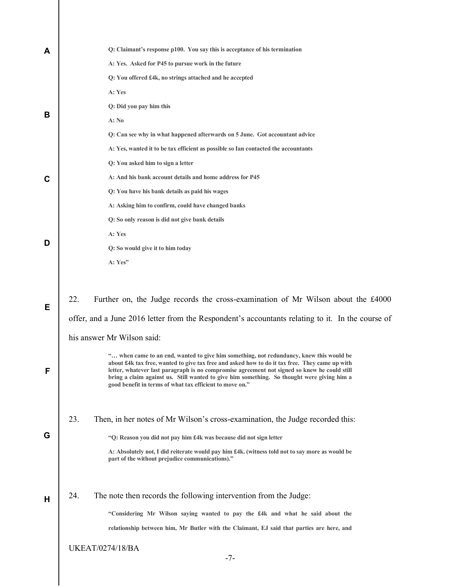| A | Q: Claimant's response p100. You say this is acceptance of his termination                                                                                                                                                                                                                                                                                                                                                                          |  |
|---|-----------------------------------------------------------------------------------------------------------------------------------------------------------------------------------------------------------------------------------------------------------------------------------------------------------------------------------------------------------------------------------------------------------------------------------------------------|--|
|   | A: Yes. Asked for P45 to pursue work in the future                                                                                                                                                                                                                                                                                                                                                                                                  |  |
|   | Q: You offered £4k, no strings attached and he accepted                                                                                                                                                                                                                                                                                                                                                                                             |  |
|   | A: Yes                                                                                                                                                                                                                                                                                                                                                                                                                                              |  |
|   | Q: Did you pay him this                                                                                                                                                                                                                                                                                                                                                                                                                             |  |
| B | A: No                                                                                                                                                                                                                                                                                                                                                                                                                                               |  |
|   | Q: Can see why in what happened afterwards on 5 June. Got accountant advice                                                                                                                                                                                                                                                                                                                                                                         |  |
|   | A: Yes, wanted it to be tax efficient as possible so Ian contacted the accountants                                                                                                                                                                                                                                                                                                                                                                  |  |
|   | Q: You asked him to sign a letter                                                                                                                                                                                                                                                                                                                                                                                                                   |  |
| C | A: And his bank account details and home address for P45                                                                                                                                                                                                                                                                                                                                                                                            |  |
|   | Q: You have his bank details as paid his wages                                                                                                                                                                                                                                                                                                                                                                                                      |  |
|   | A: Asking him to confirm, could have changed banks                                                                                                                                                                                                                                                                                                                                                                                                  |  |
|   | Q: So only reason is did not give bank details                                                                                                                                                                                                                                                                                                                                                                                                      |  |
|   | A: Yes                                                                                                                                                                                                                                                                                                                                                                                                                                              |  |
| D | Q: So would give it to him today                                                                                                                                                                                                                                                                                                                                                                                                                    |  |
|   | A: Yes"                                                                                                                                                                                                                                                                                                                                                                                                                                             |  |
|   |                                                                                                                                                                                                                                                                                                                                                                                                                                                     |  |
| Е | 22.<br>Further on, the Judge records the cross-examination of Mr Wilson about the £4000                                                                                                                                                                                                                                                                                                                                                             |  |
|   | offer, and a June 2016 letter from the Respondent's accountants relating to it. In the course of                                                                                                                                                                                                                                                                                                                                                    |  |
|   | his answer Mr Wilson said:                                                                                                                                                                                                                                                                                                                                                                                                                          |  |
| F | " when came to an end, wanted to give him something, not redundancy, knew this would be<br>about £4k tax free, wanted to give tax free and asked how to do it tax free. They came up with<br>letter, whatever last paragraph is no compromise agreement not signed so knew he could still<br>bring a claim against us. Still wanted to give him something. So thought were giving him a<br>good benefit in terms of what tax efficient to move on." |  |
|   | 23.<br>Then, in her notes of Mr Wilson's cross-examination, the Judge recorded this:                                                                                                                                                                                                                                                                                                                                                                |  |
| G | "Q: Reason you did not pay him £4k was because did not sign letter                                                                                                                                                                                                                                                                                                                                                                                  |  |
|   | A: Absolutely not, I did reiterate would pay him £4k. (witness told not to say more as would be<br>part of the without prejudice communications)."                                                                                                                                                                                                                                                                                                  |  |
| н | 24.<br>The note then records the following intervention from the Judge:                                                                                                                                                                                                                                                                                                                                                                             |  |
|   | "Considering Mr Wilson saying wanted to pay the £4k and what he said about the                                                                                                                                                                                                                                                                                                                                                                      |  |
|   | relationship between him, Mr Butler with the Claimant, EJ said that parties are here, and                                                                                                                                                                                                                                                                                                                                                           |  |
|   | <b>UKEAT/0274/18/BA</b>                                                                                                                                                                                                                                                                                                                                                                                                                             |  |
|   | $-7-$                                                                                                                                                                                                                                                                                                                                                                                                                                               |  |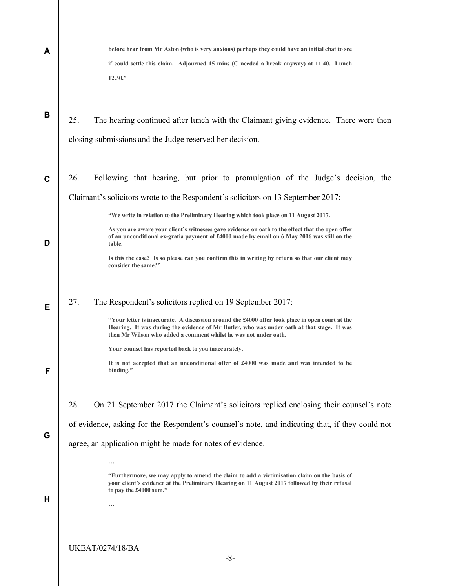| A | before hear from Mr Aston (who is very anxious) perhaps they could have an initial chat to see                                                                                                                                                                    |
|---|-------------------------------------------------------------------------------------------------------------------------------------------------------------------------------------------------------------------------------------------------------------------|
|   | if could settle this claim. Adjourned 15 mins (C needed a break anyway) at 11.40. Lunch<br>12.30."                                                                                                                                                                |
| B | 25.<br>The hearing continued after lunch with the Claimant giving evidence. There were then<br>closing submissions and the Judge reserved her decision.                                                                                                           |
|   |                                                                                                                                                                                                                                                                   |
| C | 26.<br>Following that hearing, but prior to promulgation of the Judge's decision, the                                                                                                                                                                             |
|   | Claimant's solicitors wrote to the Respondent's solicitors on 13 September 2017:                                                                                                                                                                                  |
|   | "We write in relation to the Preliminary Hearing which took place on 11 August 2017.                                                                                                                                                                              |
| D | As you are aware your client's witnesses gave evidence on oath to the effect that the open offer<br>of an unconditional ex-gratia payment of £4000 made by email on 6 May 2016 was still on the<br>table.                                                         |
|   | Is this the case? Is so please can you confirm this in writing by return so that our client may<br>consider the same?"                                                                                                                                            |
| Е | 27.<br>The Respondent's solicitors replied on 19 September 2017:                                                                                                                                                                                                  |
|   | "Your letter is inaccurate. A discussion around the £4000 offer took place in open court at the<br>Hearing. It was during the evidence of Mr Butler, who was under oath at that stage. It was<br>then Mr Wilson who added a comment whilst he was not under oath. |
|   | Your counsel has reported back to you inaccurately.                                                                                                                                                                                                               |
| F | It is not accepted that an unconditional offer of £4000 was made and was intended to be<br>binding."                                                                                                                                                              |
|   | 28.<br>On 21 September 2017 the Claimant's solicitors replied enclosing their counsel's note                                                                                                                                                                      |
|   | of evidence, asking for the Respondent's counsel's note, and indicating that, if they could not                                                                                                                                                                   |
| G | agree, an application might be made for notes of evidence.                                                                                                                                                                                                        |
|   | $\ddotsc$                                                                                                                                                                                                                                                         |
|   | "Furthermore, we may apply to amend the claim to add a victimisation claim on the basis of<br>your client's evidence at the Preliminary Hearing on 11 August 2017 followed by their refusal<br>to pay the £4000 sum."                                             |
| H |                                                                                                                                                                                                                                                                   |
|   |                                                                                                                                                                                                                                                                   |
|   | <b>UKEAT/0274/18/BA</b>                                                                                                                                                                                                                                           |
|   | $-8-$                                                                                                                                                                                                                                                             |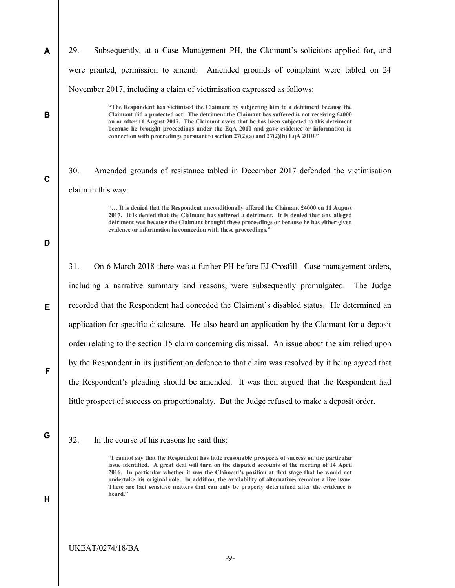29. Subsequently, at a Case Management PH, the Claimant's solicitors applied for, and were granted, permission to amend. Amended grounds of complaint were tabled on 24 November 2017, including a claim of victimisation expressed as follows:

> "The Respondent has victimised the Claimant by subjecting him to a detriment because the Claimant did a protected act. The detriment the Claimant has suffered is not receiving £4000 on or after 11 August 2017. The Claimant avers that he has been subjected to this detriment because he brought proceedings under the EqA 2010 and gave evidence or information in connection with proceedings pursuant to section  $27(2)(a)$  and  $27(2)(b)$  EqA 2010."

30. Amended grounds of resistance tabled in December 2017 defended the victimisation claim in this way:

> "… It is denied that the Respondent unconditionally offered the Claimant £4000 on 11 August 2017. It is denied that the Claimant has suffered a detriment. It is denied that any alleged detriment was because the Claimant brought these proceedings or because he has either given evidence or information in connection with these proceedings."

# D

A

B

C

31. On 6 March 2018 there was a further PH before EJ Crosfill. Case management orders, including a narrative summary and reasons, were subsequently promulgated. The Judge recorded that the Respondent had conceded the Claimant's disabled status. He determined an application for specific disclosure. He also heard an application by the Claimant for a deposit order relating to the section 15 claim concerning dismissal. An issue about the aim relied upon by the Respondent in its justification defence to that claim was resolved by it being agreed that the Respondent's pleading should be amended. It was then argued that the Respondent had little prospect of success on proportionality. But the Judge refused to make a deposit order.

F

E

G

H

#### 32. In the course of his reasons he said this:

"I cannot say that the Respondent has little reasonable prospects of success on the particular issue identified. A great deal will turn on the disputed accounts of the meeting of 14 April 2016. In particular whether it was the Claimant's position at that stage that he would not undertake his original role. In addition, the availability of alternatives remains a live issue. These are fact sensitive matters that can only be properly determined after the evidence is heard."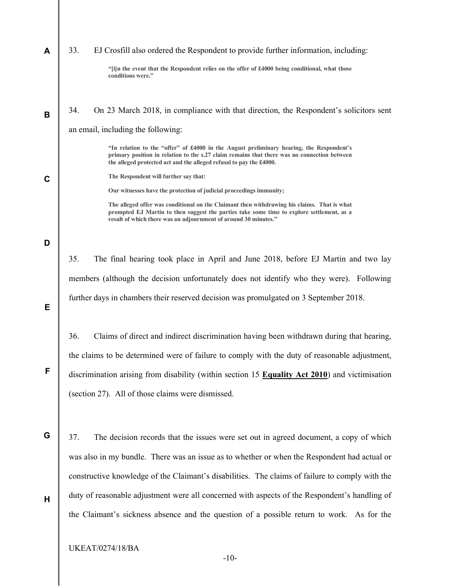| A           | 33.<br>EJ Crosfill also ordered the Respondent to provide further information, including:                                                                                                                                                                      |
|-------------|----------------------------------------------------------------------------------------------------------------------------------------------------------------------------------------------------------------------------------------------------------------|
|             | "[i]n the event that the Respondent relies on the offer of £4000 being conditional, what those<br>conditions were."                                                                                                                                            |
| B           | 34.<br>On 23 March 2018, in compliance with that direction, the Respondent's solicitors sent                                                                                                                                                                   |
|             | an email, including the following:                                                                                                                                                                                                                             |
|             | "In relation to the "offer" of £4000 in the August preliminary hearing, the Respondent's<br>primary position in relation to the s.27 claim remains that there was no connection between<br>the alleged protected act and the alleged refusal to pay the £4000. |
| $\mathbf C$ | The Respondent will further say that:                                                                                                                                                                                                                          |
|             | Our witnesses have the protection of judicial proceedings immunity;                                                                                                                                                                                            |
|             | The alleged offer was conditional on the Claimant then withdrawing his claims. That is what<br>prompted EJ Martin to then suggest the parties take some time to explore settlement, as a<br>result of which there was an adjournment of around 30 minutes."    |
|             |                                                                                                                                                                                                                                                                |
| D           |                                                                                                                                                                                                                                                                |
|             | 35.<br>The final hearing took place in April and June 2018, before EJ Martin and two lay                                                                                                                                                                       |
|             | members (although the decision unfortunately does not identify who they were). Following                                                                                                                                                                       |
| Е           | further days in chambers their reserved decision was promulgated on 3 September 2018.                                                                                                                                                                          |
|             | 36.<br>Claims of direct and indirect discrimination having been withdrawn during that hearing,                                                                                                                                                                 |
|             | the claims to be determined were of failure to comply with the duty of reasonable adjustment,                                                                                                                                                                  |
| F           | discrimination arising from disability (within section 15 Equality Act 2010) and victimisation                                                                                                                                                                 |
|             | (section 27). All of those claims were dismissed.                                                                                                                                                                                                              |
|             |                                                                                                                                                                                                                                                                |
| G           | 37.<br>The decision records that the issues were set out in agreed document, a copy of which                                                                                                                                                                   |
|             | was also in my bundle. There was an issue as to whether or when the Respondent had actual or                                                                                                                                                                   |
|             | constructive knowledge of the Claimant's disabilities. The claims of failure to comply with the                                                                                                                                                                |
|             |                                                                                                                                                                                                                                                                |
| н           | duty of reasonable adjustment were all concerned with aspects of the Respondent's handling of                                                                                                                                                                  |
|             | the Claimant's sickness absence and the question of a possible return to work. As for the                                                                                                                                                                      |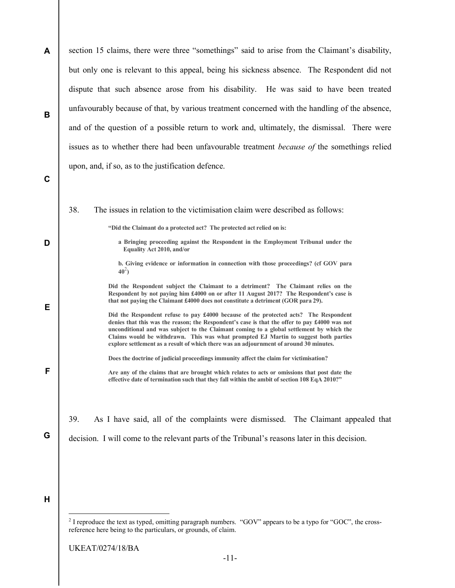A B C D E F G H section 15 claims, there were three "somethings" said to arise from the Claimant's disability, but only one is relevant to this appeal, being his sickness absence. The Respondent did not dispute that such absence arose from his disability. He was said to have been treated unfavourably because of that, by various treatment concerned with the handling of the absence, and of the question of a possible return to work and, ultimately, the dismissal. There were issues as to whether there had been unfavourable treatment because of the somethings relied upon, and, if so, as to the justification defence. 38. The issues in relation to the victimisation claim were described as follows: "Did the Claimant do a protected act? The protected act relied on is: a Bringing proceeding against the Respondent in the Employment Tribunal under the Equality Act 2010, and/or b. Giving evidence or information in connection with those proceedings? (cf GOV para  $40^2$ ) Did the Respondent subject the Claimant to a detriment? The Claimant relies on the Respondent by not paying him £4000 on or after 11 August 2017? The Respondent's case is that not paying the Claimant £4000 does not constitute a detriment (GOR para 29). Did the Respondent refuse to pay £4000 because of the protected acts? The Respondent denies that this was the reason; the Respondent's case is that the offer to pay £4000 was not unconditional and was subject to the Claimant coming to a global settlement by which the Claims would be withdrawn. This was what prompted EJ Martin to suggest both parties explore settlement as a result of which there was an adjournment of around 30 minutes. Does the doctrine of judicial proceedings immunity affect the claim for victimisation? Are any of the claims that are brought which relates to acts or omissions that post date the effective date of termination such that they fall within the ambit of section 108 EqA 2010?" 39. As I have said, all of the complaints were dismissed. The Claimant appealed that decision. I will come to the relevant parts of the Tribunal's reasons later in this decision. -

<sup>&</sup>lt;sup>2</sup> I reproduce the text as typed, omitting paragraph numbers. "GOV" appears to be a typo for "GOC", the crossreference here being to the particulars, or grounds, of claim.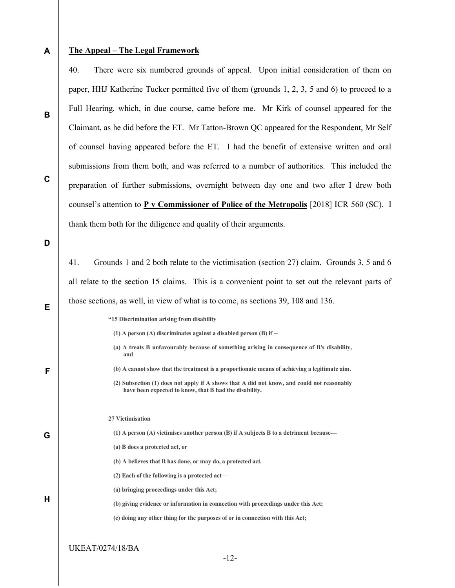### A

B

C

# The Appeal – The Legal Framework

40. There were six numbered grounds of appeal. Upon initial consideration of them on paper, HHJ Katherine Tucker permitted five of them (grounds 1, 2, 3, 5 and 6) to proceed to a Full Hearing, which, in due course, came before me. Mr Kirk of counsel appeared for the Claimant, as he did before the ET. Mr Tatton-Brown QC appeared for the Respondent, Mr Self of counsel having appeared before the ET. I had the benefit of extensive written and oral submissions from them both, and was referred to a number of authorities. This included the preparation of further submissions, overnight between day one and two after I drew both counsel's attention to P v Commissioner of Police of the Metropolis [2018] ICR 560 (SC). I thank them both for the diligence and quality of their arguments.

D

|   | Grounds 1 and 2 both relate to the victimisation (section 27) claim. Grounds 3, 5 and 6<br>41.                                                       |
|---|------------------------------------------------------------------------------------------------------------------------------------------------------|
|   | all relate to the section 15 claims. This is a convenient point to set out the relevant parts of                                                     |
| E | those sections, as well, in view of what is to come, as sections 39, 108 and 136.                                                                    |
|   | "15 Discrimination arising from disability                                                                                                           |
|   | $(1)$ A person $(A)$ discriminates against a disabled person $(B)$ if $-$                                                                            |
|   | (a) A treats B unfavourably because of something arising in consequence of B's disability,<br>and                                                    |
| F | (b) A cannot show that the treatment is a proportionate means of achieving a legitimate aim.                                                         |
|   | (2) Subsection (1) does not apply if A shows that A did not know, and could not reasonably<br>have been expected to know, that B had the disability. |
|   | 27 Victimisation                                                                                                                                     |
| Ġ | $(1)$ A person $(A)$ victimises another person $(B)$ if A subjects B to a detriment because—                                                         |
|   | (a) B does a protected act, or                                                                                                                       |
|   | (b) A believes that B has done, or may do, a protected act.                                                                                          |
|   | $(2)$ Each of the following is a protected act-                                                                                                      |
|   | (a) bringing proceedings under this Act;                                                                                                             |
| H | (b) giving evidence or information in connection with proceedings under this Act;                                                                    |
|   | (c) doing any other thing for the purposes of or in connection with this Act;                                                                        |
|   |                                                                                                                                                      |
|   | UKEAT/0274/18/BA                                                                                                                                     |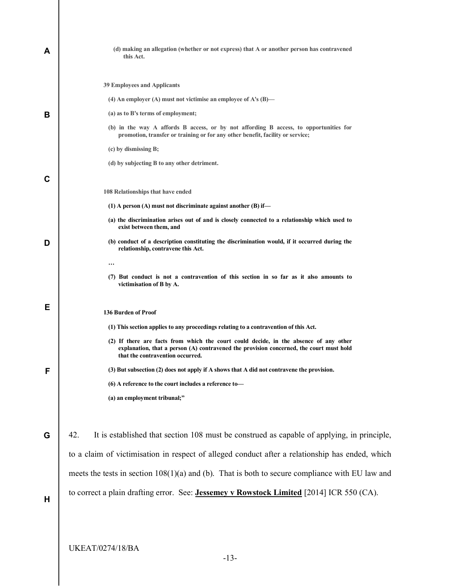| A | (d) making an allegation (whether or not express) that A or another person has contravened<br>this Act.                                                                                                              |
|---|----------------------------------------------------------------------------------------------------------------------------------------------------------------------------------------------------------------------|
|   | <b>39 Employees and Applicants</b><br>(4) An employer (A) must not victimise an employee of A's $(B)$ —                                                                                                              |
| в | (a) as to B's terms of employment;                                                                                                                                                                                   |
|   | (b) in the way A affords B access, or by not affording B access, to opportunities for<br>promotion, transfer or training or for any other benefit, facility or service;                                              |
|   | (c) by dismissing B;                                                                                                                                                                                                 |
|   | (d) by subjecting B to any other detriment.                                                                                                                                                                          |
| C |                                                                                                                                                                                                                      |
|   | 108 Relationships that have ended                                                                                                                                                                                    |
|   | $(1)$ A person $(A)$ must not discriminate against another $(B)$ if—                                                                                                                                                 |
|   | (a) the discrimination arises out of and is closely connected to a relationship which used to<br>exist between them, and                                                                                             |
| D | (b) conduct of a description constituting the discrimination would, if it occurred during the<br>relationship, contravene this Act.                                                                                  |
|   |                                                                                                                                                                                                                      |
|   | (7) But conduct is not a contravention of this section in so far as it also amounts to<br>victimisation of B by A.                                                                                                   |
| Е |                                                                                                                                                                                                                      |
|   | 136 Burden of Proof                                                                                                                                                                                                  |
|   | (1) This section applies to any proceedings relating to a contravention of this Act.                                                                                                                                 |
|   | (2) If there are facts from which the court could decide, in the absence of any other<br>explanation, that a person (A) contravened the provision concerned, the court must hold<br>that the contravention occurred. |
|   | (3) But subsection (2) does not apply if A shows that A did not contravene the provision.                                                                                                                            |
|   | (6) A reference to the court includes a reference to-                                                                                                                                                                |
|   | (a) an employment tribunal;"                                                                                                                                                                                         |
| G | It is established that section 108 must be construed as capable of applying, in principle,<br>42.                                                                                                                    |
|   |                                                                                                                                                                                                                      |
|   | to a claim of victimisation in respect of alleged conduct after a relationship has ended, which                                                                                                                      |
|   | meets the tests in section $108(1)(a)$ and (b). That is both to secure compliance with EU law and                                                                                                                    |
| Н | to correct a plain drafting error. See: <b>Jessemey v Rowstock Limited</b> [2014] ICR 550 (CA).                                                                                                                      |
|   |                                                                                                                                                                                                                      |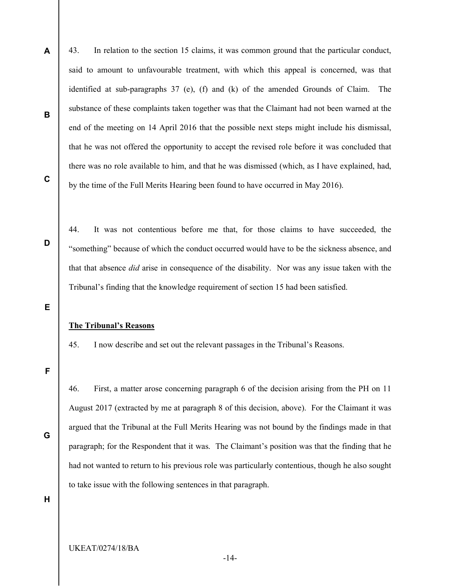43. In relation to the section 15 claims, it was common ground that the particular conduct, said to amount to unfavourable treatment, with which this appeal is concerned, was that identified at sub-paragraphs 37 (e), (f) and (k) of the amended Grounds of Claim. The substance of these complaints taken together was that the Claimant had not been warned at the end of the meeting on 14 April 2016 that the possible next steps might include his dismissal, that he was not offered the opportunity to accept the revised role before it was concluded that there was no role available to him, and that he was dismissed (which, as I have explained, had, by the time of the Full Merits Hearing been found to have occurred in May 2016).

C

D

A

B

44. It was not contentious before me that, for those claims to have succeeded, the "something" because of which the conduct occurred would have to be the sickness absence, and that that absence did arise in consequence of the disability. Nor was any issue taken with the Tribunal's finding that the knowledge requirement of section 15 had been satisfied.

E

#### The Tribunal's Reasons

45. I now describe and set out the relevant passages in the Tribunal's Reasons.

F

46. First, a matter arose concerning paragraph 6 of the decision arising from the PH on 11 August 2017 (extracted by me at paragraph 8 of this decision, above). For the Claimant it was argued that the Tribunal at the Full Merits Hearing was not bound by the findings made in that paragraph; for the Respondent that it was. The Claimant's position was that the finding that he had not wanted to return to his previous role was particularly contentious, though he also sought to take issue with the following sentences in that paragraph.

H

G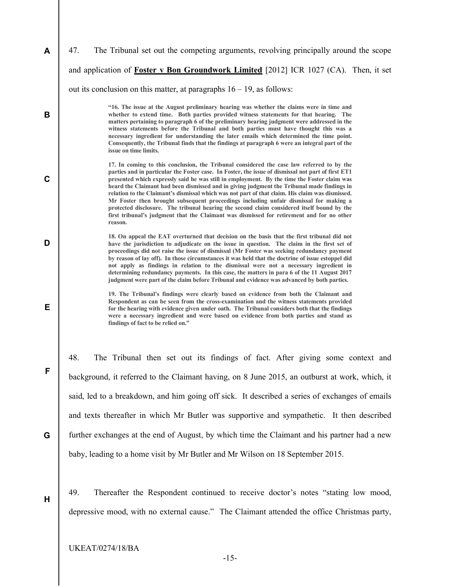| A | 47.<br>The Tribunal set out the competing arguments, revolving principally around the scope                                                                                                                                                                                                                                                                                                                                                                                                                                                                                                                                                                                                                                                                                                    |
|---|------------------------------------------------------------------------------------------------------------------------------------------------------------------------------------------------------------------------------------------------------------------------------------------------------------------------------------------------------------------------------------------------------------------------------------------------------------------------------------------------------------------------------------------------------------------------------------------------------------------------------------------------------------------------------------------------------------------------------------------------------------------------------------------------|
|   | and application of Foster v Bon Groundwork Limited [2012] ICR 1027 (CA). Then, it set                                                                                                                                                                                                                                                                                                                                                                                                                                                                                                                                                                                                                                                                                                          |
|   | out its conclusion on this matter, at paragraphs $16 - 19$ , as follows:                                                                                                                                                                                                                                                                                                                                                                                                                                                                                                                                                                                                                                                                                                                       |
| B | "16. The issue at the August preliminary hearing was whether the claims were in time and<br>whether to extend time. Both parties provided witness statements for that hearing. The<br>matters pertaining to paragraph 6 of the preliminary hearing judgment were addressed in the<br>witness statements before the Tribunal and both parties must have thought this was a<br>necessary ingredient for understanding the later emails which determined the time point.<br>Consequently, the Tribunal finds that the findings at paragraph 6 were an integral part of the<br>issue on time limits.                                                                                                                                                                                               |
| C | 17. In coming to this conclusion, the Tribunal considered the case law referred to by the<br>parties and in particular the Foster case. In Foster, the issue of dismissal not part of first ET1<br>presented which expressly said he was still in employment. By the time the Foster claim was<br>heard the Claimant had been dismissed and in giving judgment the Tribunal made findings in<br>relation to the Claimant's dismissal which was not part of that claim. His claim was dismissed.<br>Mr Foster then brought subsequent proceedings including unfair dismissal for making a<br>protected disclosure. The tribunal hearing the second claim considered itself bound by the<br>first tribunal's judgment that the Claimant was dismissed for retirement and for no other<br>reason. |
| D | 18. On appeal the EAT overturned that decision on the basis that the first tribunal did not<br>have the jurisdiction to adjudicate on the issue in question. The claim in the first set of<br>proceedings did not raise the issue of dismissal (Mr Foster was seeking redundancy payment<br>by reason of lay off). In those circumstances it was held that the doctrine of issue estoppel did<br>not apply as findings in relation to the dismissal were not a necessary ingredient in<br>determining redundancy payments. In this case, the matters in para 6 of the 11 August 2017<br>judgment were part of the claim before Tribunal and evidence was advanced by both parties.                                                                                                             |
| Е | 19. The Tribunal's findings were clearly based on evidence from both the Claimant and<br>Respondent as can be seen from the cross-examination and the witness statements provided<br>for the hearing with evidence given under oath. The Tribunal considers both that the findings<br>were a necessary ingredient and were based on evidence from both parties and stand as<br>findings of fact to be relied on."                                                                                                                                                                                                                                                                                                                                                                              |
| F | 48.<br>The Tribunal then set out its findings of fact. After giving some context and<br>background, it referred to the Claimant having, on 8 June 2015, an outburst at work, which, it<br>said, led to a breakdown, and him going off sick. It described a series of exchanges of emails                                                                                                                                                                                                                                                                                                                                                                                                                                                                                                       |
|   | and texts thereafter in which Mr Butler was supportive and sympathetic. It then described                                                                                                                                                                                                                                                                                                                                                                                                                                                                                                                                                                                                                                                                                                      |
| G | further exchanges at the end of August, by which time the Claimant and his partner had a new                                                                                                                                                                                                                                                                                                                                                                                                                                                                                                                                                                                                                                                                                                   |
|   | baby, leading to a home visit by Mr Butler and Mr Wilson on 18 September 2015.                                                                                                                                                                                                                                                                                                                                                                                                                                                                                                                                                                                                                                                                                                                 |
| H | 49.<br>Thereafter the Respondent continued to receive doctor's notes "stating low mood,<br>depressive mood, with no external cause." The Claimant attended the office Christmas party,                                                                                                                                                                                                                                                                                                                                                                                                                                                                                                                                                                                                         |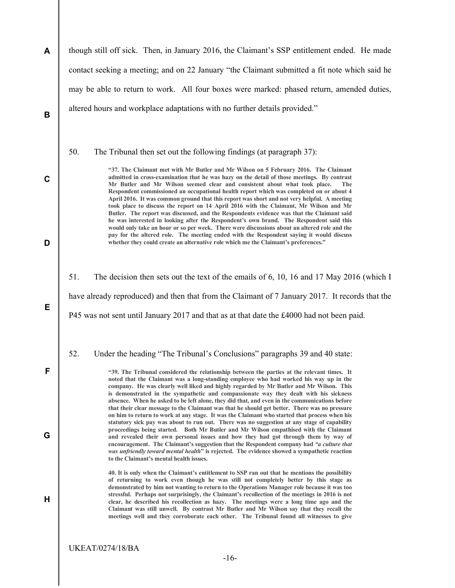| A                |                                                                                                 | though still off sick. Then, in January 2016, the Claimant's SSP entitlement ended. He made                                                                                                                                                                                                                                                                                                                                                                                                                                                                                                                                                                                                                                                                                                                                                                                                                                                                                                                                                                                                                 |  |
|------------------|-------------------------------------------------------------------------------------------------|-------------------------------------------------------------------------------------------------------------------------------------------------------------------------------------------------------------------------------------------------------------------------------------------------------------------------------------------------------------------------------------------------------------------------------------------------------------------------------------------------------------------------------------------------------------------------------------------------------------------------------------------------------------------------------------------------------------------------------------------------------------------------------------------------------------------------------------------------------------------------------------------------------------------------------------------------------------------------------------------------------------------------------------------------------------------------------------------------------------|--|
|                  |                                                                                                 | contact seeking a meeting; and on 22 January "the Claimant submitted a fit note which said he                                                                                                                                                                                                                                                                                                                                                                                                                                                                                                                                                                                                                                                                                                                                                                                                                                                                                                                                                                                                               |  |
|                  |                                                                                                 | may be able to return to work. All four boxes were marked: phased return, amended duties,                                                                                                                                                                                                                                                                                                                                                                                                                                                                                                                                                                                                                                                                                                                                                                                                                                                                                                                                                                                                                   |  |
| В                |                                                                                                 | altered hours and workplace adaptations with no further details provided."                                                                                                                                                                                                                                                                                                                                                                                                                                                                                                                                                                                                                                                                                                                                                                                                                                                                                                                                                                                                                                  |  |
| $\mathbf c$<br>D | 50.                                                                                             | The Tribunal then set out the following findings (at paragraph 37):<br>"37. The Claimant met with Mr Butler and Mr Wilson on 5 February 2016. The Claimant<br>admitted in cross-examination that he was hazy on the detail of those meetings. By contrast<br>Mr Butler and Mr Wilson seemed clear and consistent about what took place.<br>The<br>Respondent commissioned an occupational health report which was completed on or about 4<br>April 2016. It was common ground that this report was short and not very helpful. A meeting<br>took place to discuss the report on 14 April 2016 with the Claimant, Mr Wilson and Mr<br>Butler. The report was discussed, and the Respondents evidence was that the Claimant said<br>he was interested in looking after the Respondent's own brand. The Respondent said this<br>would only take an hour or so per week. There were discussions about an altered role and the<br>pay for the altered role. The meeting ended with the Respondent saying it would discuss<br>whether they could create an alternative role which me the Claimant's preferences." |  |
|                  |                                                                                                 |                                                                                                                                                                                                                                                                                                                                                                                                                                                                                                                                                                                                                                                                                                                                                                                                                                                                                                                                                                                                                                                                                                             |  |
|                  | 51.                                                                                             | The decision then sets out the text of the emails of 6, 10, 16 and 17 May 2016 (which I                                                                                                                                                                                                                                                                                                                                                                                                                                                                                                                                                                                                                                                                                                                                                                                                                                                                                                                                                                                                                     |  |
|                  | have already reproduced) and then that from the Claimant of 7 January 2017. It records that the |                                                                                                                                                                                                                                                                                                                                                                                                                                                                                                                                                                                                                                                                                                                                                                                                                                                                                                                                                                                                                                                                                                             |  |
| Е                |                                                                                                 | P45 was not sent until January 2017 and that as at that date the £4000 had not been paid.                                                                                                                                                                                                                                                                                                                                                                                                                                                                                                                                                                                                                                                                                                                                                                                                                                                                                                                                                                                                                   |  |
|                  | 52.                                                                                             | Under the heading "The Tribunal's Conclusions" paragraphs 39 and 40 state:                                                                                                                                                                                                                                                                                                                                                                                                                                                                                                                                                                                                                                                                                                                                                                                                                                                                                                                                                                                                                                  |  |
| F                |                                                                                                 | "39. The Tribunal considered the relationship between the parties at the relevant times. It<br>noted that the Claimant was a long-standing employee who had worked his way up in the<br>company. He was clearly well liked and highly regarded by Mr Butler and Mr Wilson. This<br>is demonstrated in the sympathetic and compassionate way they dealt with his sickness<br>absence. When he asked to be left alone, they did that, and even in the communications before                                                                                                                                                                                                                                                                                                                                                                                                                                                                                                                                                                                                                                   |  |
| G                |                                                                                                 | that their clear message to the Claimant was that he should get better. There was no pressure<br>on him to return to work at any stage. It was the Claimant who started that process when his<br>statutory sick pay was about to run out. There was no suggestion at any stage of capability<br>proceedings being started. Both Mr Butler and Mr Wilson empathised with the Claimant<br>and revealed their own personal issues and how they had got through them by way of<br>encouragement. The Claimant's suggestion that the Respondent company had "a culture that<br>was unfriendly toward mental health" is rejected. The evidence showed a sympathetic reaction<br>to the Claimant's mental health issues.                                                                                                                                                                                                                                                                                                                                                                                           |  |
| Н                |                                                                                                 | 40. It is only when the Claimant's entitlement to SSP ran out that he mentions the possibility<br>of returning to work even though he was still not completely better by this stage as<br>demonstrated by him not wanting to return to the Operations Manager role because it was too<br>stressful. Perhaps not surprisingly, the Claimant's recollection of the meetings in 2016 is not<br>clear, he described his recollection as hazy. The meetings were a long time ago and the<br>Claimant was still unwell. By contrast Mr Butler and Mr Wilson say that they recall the<br>meetings well and they corroborate each other. The Tribunal found all witnesses to give                                                                                                                                                                                                                                                                                                                                                                                                                                   |  |
|                  |                                                                                                 | <b>UKEAT/0274/18/BA</b>                                                                                                                                                                                                                                                                                                                                                                                                                                                                                                                                                                                                                                                                                                                                                                                                                                                                                                                                                                                                                                                                                     |  |
|                  |                                                                                                 | $-16-$                                                                                                                                                                                                                                                                                                                                                                                                                                                                                                                                                                                                                                                                                                                                                                                                                                                                                                                                                                                                                                                                                                      |  |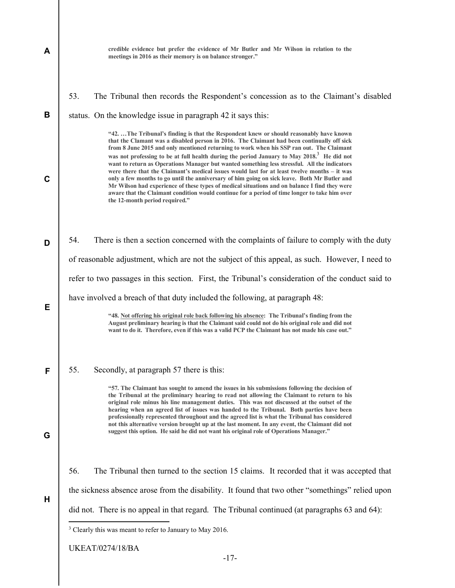| A | credible evidence but prefer the evidence of Mr Butler and Mr Wilson in relation to the<br>meetings in 2016 as their memory is on balance stronger."                                                                                                                                                                                                                                                                                                                                                                                                                                                                                                                                                                                                                                                                                 |
|---|--------------------------------------------------------------------------------------------------------------------------------------------------------------------------------------------------------------------------------------------------------------------------------------------------------------------------------------------------------------------------------------------------------------------------------------------------------------------------------------------------------------------------------------------------------------------------------------------------------------------------------------------------------------------------------------------------------------------------------------------------------------------------------------------------------------------------------------|
| B | 53.<br>The Tribunal then records the Respondent's concession as to the Claimant's disabled<br>status. On the knowledge issue in paragraph 42 it says this:<br>"42The Tribunal's finding is that the Respondent knew or should reasonably have known                                                                                                                                                                                                                                                                                                                                                                                                                                                                                                                                                                                  |
| C | that the Clamant was a disabled person in 2016. The Claimant had been continually off sick<br>from 8 June 2015 and only mentioned returning to work when his SSP ran out. The Claimant<br>was not professing to be at full health during the period January to May 2018. <sup>3</sup> He did not<br>want to return as Operations Manager but wanted something less stressful. All the indicators<br>were there that the Claimant's medical issues would last for at least twelve months – it was<br>only a few months to go until the anniversary of him going on sick leave. Both Mr Butler and<br>Mr Wilson had experience of these types of medical situations and on balance I find they were<br>aware that the Claimant condition would continue for a period of time longer to take him over<br>the 12-month period required." |
| D | There is then a section concerned with the complaints of failure to comply with the duty<br>54.                                                                                                                                                                                                                                                                                                                                                                                                                                                                                                                                                                                                                                                                                                                                      |
|   | of reasonable adjustment, which are not the subject of this appeal, as such. However, I need to                                                                                                                                                                                                                                                                                                                                                                                                                                                                                                                                                                                                                                                                                                                                      |
|   | refer to two passages in this section. First, the Tribunal's consideration of the conduct said to                                                                                                                                                                                                                                                                                                                                                                                                                                                                                                                                                                                                                                                                                                                                    |
|   | have involved a breach of that duty included the following, at paragraph 48:                                                                                                                                                                                                                                                                                                                                                                                                                                                                                                                                                                                                                                                                                                                                                         |
| Е | "48. Not offering his original role back following his absence: The Tribunal's finding from the<br>August preliminary hearing is that the Claimant said could not do his original role and did not<br>want to do it. Therefore, even if this was a valid PCP the Claimant has not made his case out."                                                                                                                                                                                                                                                                                                                                                                                                                                                                                                                                |
|   |                                                                                                                                                                                                                                                                                                                                                                                                                                                                                                                                                                                                                                                                                                                                                                                                                                      |
| F | 55.<br>Secondly, at paragraph 57 there is this:                                                                                                                                                                                                                                                                                                                                                                                                                                                                                                                                                                                                                                                                                                                                                                                      |
| G | "57. The Claimant has sought to amend the issues in his submissions following the decision of<br>the Tribunal at the preliminary hearing to read not allowing the Claimant to return to his<br>original role minus his line management duties. This was not discussed at the outset of the<br>hearing when an agreed list of issues was handed to the Tribunal. Both parties have been<br>professionally represented throughout and the agreed list is what the Tribunal has considered<br>not this alternative version brought up at the last moment. In any event, the Claimant did not<br>suggest this option. He said he did not want his original role of Operations Manager."                                                                                                                                                  |
|   | 56.<br>The Tribunal then turned to the section 15 claims. It recorded that it was accepted that                                                                                                                                                                                                                                                                                                                                                                                                                                                                                                                                                                                                                                                                                                                                      |
| Н | the sickness absence arose from the disability. It found that two other "somethings" relied upon                                                                                                                                                                                                                                                                                                                                                                                                                                                                                                                                                                                                                                                                                                                                     |
|   | did not. There is no appeal in that regard. The Tribunal continued (at paragraphs 63 and 64):                                                                                                                                                                                                                                                                                                                                                                                                                                                                                                                                                                                                                                                                                                                                        |
|   | <sup>3</sup> Clearly this was meant to refer to January to May 2016.                                                                                                                                                                                                                                                                                                                                                                                                                                                                                                                                                                                                                                                                                                                                                                 |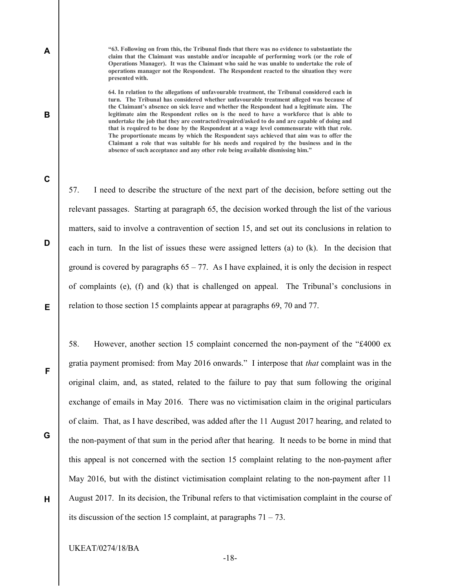"63. Following on from this, the Tribunal finds that there was no evidence to substantiate the claim that the Claimant was unstable and/or incapable of performing work (or the role of Operations Manager). It was the Claimant who said he was unable to undertake the role of operations manager not the Respondent. The Respondent reacted to the situation they were presented with.

64. In relation to the allegations of unfavourable treatment, the Tribunal considered each in turn. The Tribunal has considered whether unfavourable treatment alleged was because of the Claimant's absence on sick leave and whether the Respondent had a legitimate aim. The legitimate aim the Respondent relies on is the need to have a workforce that is able to undertake the job that they are contracted/required/asked to do and are capable of doing and that is required to be done by the Respondent at a wage level commensurate with that role. The proportionate means by which the Respondent says achieved that aim was to offer the Claimant a role that was suitable for his needs and required by the business and in the absence of such acceptance and any other role being available dismissing him."

C

D

A

B

57. I need to describe the structure of the next part of the decision, before setting out the relevant passages. Starting at paragraph 65, the decision worked through the list of the various matters, said to involve a contravention of section 15, and set out its conclusions in relation to each in turn. In the list of issues these were assigned letters (a) to (k). In the decision that ground is covered by paragraphs  $65 - 77$ . As I have explained, it is only the decision in respect of complaints (e), (f) and (k) that is challenged on appeal. The Tribunal's conclusions in relation to those section 15 complaints appear at paragraphs 69, 70 and 77.

F

G

E

58. However, another section 15 complaint concerned the non-payment of the "£4000 ex gratia payment promised: from May 2016 onwards." I interpose that that complaint was in the original claim, and, as stated, related to the failure to pay that sum following the original exchange of emails in May 2016. There was no victimisation claim in the original particulars of claim. That, as I have described, was added after the 11 August 2017 hearing, and related to the non-payment of that sum in the period after that hearing. It needs to be borne in mind that this appeal is not concerned with the section 15 complaint relating to the non-payment after May 2016, but with the distinct victimisation complaint relating to the non-payment after 11 August 2017. In its decision, the Tribunal refers to that victimisation complaint in the course of its discussion of the section 15 complaint, at paragraphs  $71 - 73$ .

H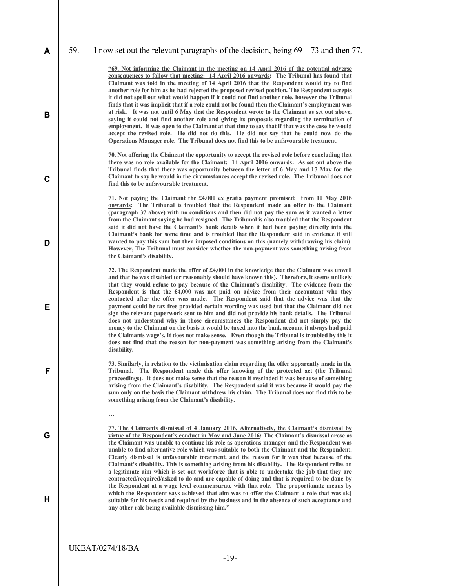|  |  | $\mathsf{A}$   59. I now set out the relevant paragraphs of the decision, being $69 - 73$ and then 77. |
|--|--|--------------------------------------------------------------------------------------------------------|
|--|--|--------------------------------------------------------------------------------------------------------|

"69. Not informing the Claimant in the meeting on 14 April 2016 of the potential adverse consequences to follow that meeting: 14 April 2016 onwards: The Tribunal has found that Claimant was told in the meeting of 14 April 2016 that the Respondent would try to find another role for him as he had rejected the proposed revised position. The Respondent accepts it did not spell out what would happen if it could not find another role, however the Tribunal finds that it was implicit that if a role could not be found then the Claimant's employment was at risk. It was not until 6 May that the Respondent wrote to the Claimant as set out above, saying it could not find another role and giving its proposals regarding the termination of employment. It was open to the Claimant at that time to say that if that was the case he would accept the revised role. He did not do this. He did not say that he could now do the Operations Manager role. The Tribunal does not find this to be unfavourable treatment.

70. Not offering the Claimant the opportunity to accept the revised role before concluding that there was no role available for the Claimant: 14 April 2016 onwards: As set out above the Tribunal finds that there was opportunity between the letter of 6 May and 17 May for the Claimant to say he would in the circumstances accept the revised role. The Tribunal does not find this to be unfavourable treatment.

71. Not paying the Claimant the £4,000 ex gratia payment promised: from 10 May 2016 onwards: The Tribunal is troubled that the Respondent made an offer to the Claimant (paragraph 37 above) with no conditions and then did not pay the sum as it wanted a letter from the Claimant saying he had resigned. The Tribunal is also troubled that the Respondent said it did not have the Claimant's bank details when it had been paying directly into the Claimant's bank for some time and is troubled that the Respondent said in evidence it still wanted to pay this sum but then imposed conditions on this (namely withdrawing his claim). However, The Tribunal must consider whether the non-payment was something arising from the Claimant's disability.

72. The Respondent made the offer of £4,000 in the knowledge that the Claimant was unwell and that he was disabled (or reasonably should have known this). Therefore, it seems unlikely that they would refuse to pay because of the Claimant's disability. The evidence from the Respondent is that the  $£4,000$  was not paid on advice from their accountant who they contacted after the offer was made. The Respondent said that the advice was that the payment could be tax free provided certain wording was used but that the Claimant did not sign the relevant paperwork sent to him and did not provide his bank details. The Tribunal does not understand why in those circumstances the Respondent did not simply pay the money to the Claimant on the basis it would be taxed into the bank account it always had paid the Claimants wage's. It does not make sense. Even though the Tribunal is troubled by this it does not find that the reason for non-payment was something arising from the Claimant's disability.

73. Similarly, in relation to the victimisation claim regarding the offer apparently made in the Tribunal. The Respondent made this offer knowing of the protected act (the Tribunal proceedings). It does not make sense that the reason it rescinded it was because of something arising from the Claimant's disability. The Respondent said it was because it would pay the sum only on the basis the Claimant withdrew his claim. The Tribunal does not find this to be something arising from the Claimant's disability.

B

C

D

E

F

G

H

77. The Claimants dismissal of 4 January 2016, Alternatively, the Claimant's dismissal by virtue of the Respondent's conduct in May and June 2016: The Claimant's dismissal arose as the Claimant was unable to continue his role as operations manager and the Respondent was unable to find alternative role which was suitable to both the Claimant and the Respondent. Clearly dismissal is unfavourable treatment, and the reason for it was that because of the Claimant's disability. This is something arising from his disability. The Respondent relies on a legitimate aim which is set out workforce that is able to undertake the job that they are contracted/required/asked to do and are capable of doing and that is required to be done by the Respondent at a wage level commensurate with that role. The proportionate means by which the Respondent says achieved that aim was to offer the Claimant a role that was[sic] suitable for his needs and required by the business and in the absence of such acceptance and any other role being available dismissing him."

UKEAT/0274/18/BA

…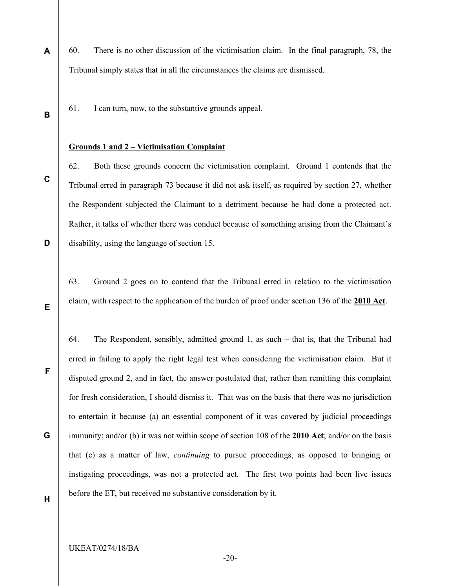- A 60. There is no other discussion of the victimisation claim. In the final paragraph, 78, the Tribunal simply states that in all the circumstances the claims are dismissed.
	- 61. I can turn, now, to the substantive grounds appeal.

#### Grounds 1 and 2 – Victimisation Complaint

62. Both these grounds concern the victimisation complaint. Ground 1 contends that the Tribunal erred in paragraph 73 because it did not ask itself, as required by section 27, whether the Respondent subjected the Claimant to a detriment because he had done a protected act. Rather, it talks of whether there was conduct because of something arising from the Claimant's disability, using the language of section 15.

63. Ground 2 goes on to contend that the Tribunal erred in relation to the victimisation claim, with respect to the application of the burden of proof under section 136 of the 2010 Act.

64. The Respondent, sensibly, admitted ground 1, as such – that is, that the Tribunal had erred in failing to apply the right legal test when considering the victimisation claim. But it disputed ground 2, and in fact, the answer postulated that, rather than remitting this complaint for fresh consideration, I should dismiss it. That was on the basis that there was no jurisdiction to entertain it because (a) an essential component of it was covered by judicial proceedings immunity; and/or (b) it was not within scope of section 108 of the 2010 Act; and/or on the basis that (c) as a matter of law, continuing to pursue proceedings, as opposed to bringing or instigating proceedings, was not a protected act. The first two points had been live issues before the ET, but received no substantive consideration by it.

H

B

C

D

E

F

G

UKEAT/0274/18/BA

-20-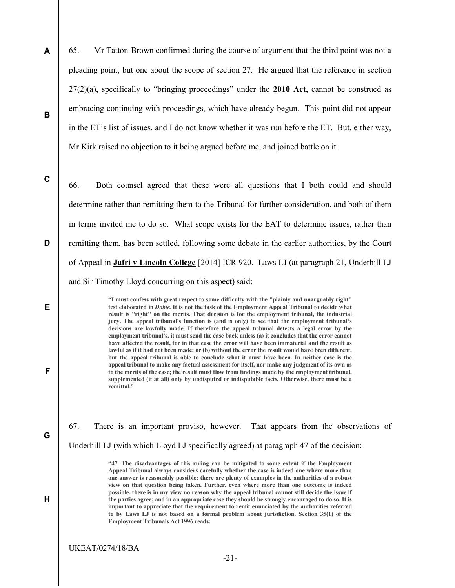A B 65. Mr Tatton-Brown confirmed during the course of argument that the third point was not a pleading point, but one about the scope of section 27. He argued that the reference in section 27(2)(a), specifically to "bringing proceedings" under the 2010 Act, cannot be construed as embracing continuing with proceedings, which have already begun. This point did not appear in the ET's list of issues, and I do not know whether it was run before the ET. But, either way, Mr Kirk raised no objection to it being argued before me, and joined battle on it.

C

D

E

F

G

H

66. Both counsel agreed that these were all questions that I both could and should determine rather than remitting them to the Tribunal for further consideration, and both of them in terms invited me to do so. What scope exists for the EAT to determine issues, rather than remitting them, has been settled, following some debate in the earlier authorities, by the Court of Appeal in Jafri v Lincoln College [2014] ICR 920. Laws LJ (at paragraph 21, Underhill LJ and Sir Timothy Lloyd concurring on this aspect) said:

> "I must confess with great respect to some difficulty with the "plainly and unarguably right" test elaborated in Dobie. It is not the task of the Employment Appeal Tribunal to decide what result is "right" on the merits. That decision is for the employment tribunal, the industrial jury. The appeal tribunal's function is (and is only) to see that the employment tribunal's decisions are lawfully made. If therefore the appeal tribunal detects a legal error by the employment tribunal's, it must send the case back unless (a) it concludes that the error cannot have affected the result, for in that case the error will have been immaterial and the result as lawful as if it had not been made; or (b) without the error the result would have been different, but the appeal tribunal is able to conclude what it must have been. In neither case is the appeal tribunal to make any factual assessment for itself, nor make any judgment of its own as to the merits of the case; the result must flow from findings made by the employment tribunal, supplemented (if at all) only by undisputed or indisputable facts. Otherwise, there must be a remittal."

67. There is an important proviso, however. That appears from the observations of Underhill LJ (with which Lloyd LJ specifically agreed) at paragraph 47 of the decision:

> "47. The disadvantages of this ruling can be mitigated to some extent if the Employment Appeal Tribunal always considers carefully whether the case is indeed one where more than one answer is reasonably possible: there are plenty of examples in the authorities of a robust view on that question being taken. Further, even where more than one outcome is indeed possible, there is in my view no reason why the appeal tribunal cannot still decide the issue if the parties agree; and in an appropriate case they should be strongly encouraged to do so. It is important to appreciate that the requirement to remit enunciated by the authorities referred to by Laws LJ is not based on a formal problem about jurisdiction. Section 35(1) of the Employment Tribunals Act 1996 reads: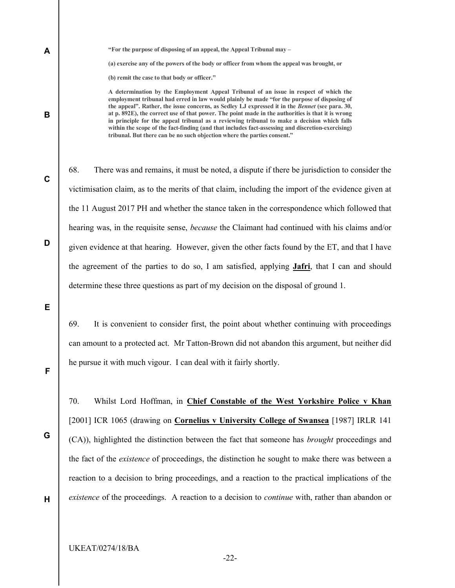"For the purpose of disposing of an appeal, the Appeal Tribunal may – (a) exercise any of the powers of the body or officer from whom the appeal was brought, or (b) remit the case to that body or officer."

A determination by the Employment Appeal Tribunal of an issue in respect of which the employment tribunal had erred in law would plainly be made "for the purpose of disposing of the appeal". Rather, the issue concerns, as Sedley LJ expressed it in the Bennet (see para. 30, at p. 892E), the correct use of that power. The point made in the authorities is that it is wrong in principle for the appeal tribunal as a reviewing tribunal to make a decision which falls within the scope of the fact-finding (and that includes fact-assessing and discretion-exercising) tribunal. But there can be no such objection where the parties consent."

68. There was and remains, it must be noted, a dispute if there be jurisdiction to consider the victimisation claim, as to the merits of that claim, including the import of the evidence given at the 11 August 2017 PH and whether the stance taken in the correspondence which followed that hearing was, in the requisite sense, *because* the Claimant had continued with his claims and/or given evidence at that hearing. However, given the other facts found by the ET, and that I have the agreement of the parties to do so, I am satisfied, applying Jafri, that I can and should determine these three questions as part of my decision on the disposal of ground 1.

E

F

A

B

C

D

69. It is convenient to consider first, the point about whether continuing with proceedings can amount to a protected act. Mr Tatton-Brown did not abandon this argument, but neither did he pursue it with much vigour. I can deal with it fairly shortly.

70. Whilst Lord Hoffman, in Chief Constable of the West Yorkshire Police v Khan [2001] ICR 1065 (drawing on Cornelius v University College of Swansea [1987] IRLR 141 (CA)), highlighted the distinction between the fact that someone has brought proceedings and the fact of the existence of proceedings, the distinction he sought to make there was between a reaction to a decision to bring proceedings, and a reaction to the practical implications of the existence of the proceedings. A reaction to a decision to *continue* with, rather than abandon or

H

G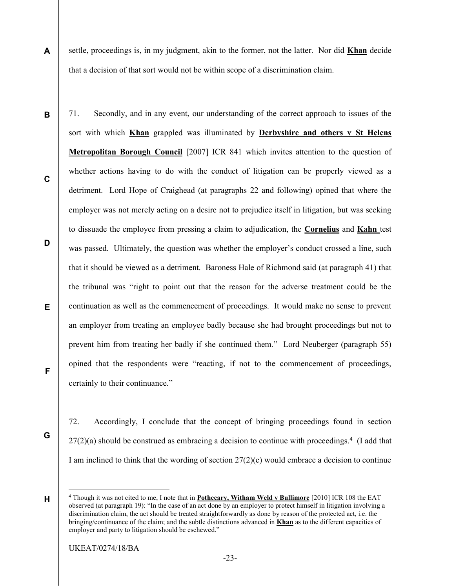settle, proceedings is, in my judgment, akin to the former, not the latter. Nor did Khan decide that a decision of that sort would not be within scope of a discrimination claim.

D E 71. Secondly, and in any event, our understanding of the correct approach to issues of the sort with which Khan grappled was illuminated by Derbyshire and others  $v$  St Helens Metropolitan Borough Council [2007] ICR 841 which invites attention to the question of whether actions having to do with the conduct of litigation can be properly viewed as a detriment. Lord Hope of Craighead (at paragraphs 22 and following) opined that where the employer was not merely acting on a desire not to prejudice itself in litigation, but was seeking to dissuade the employee from pressing a claim to adjudication, the Cornelius and Kahn test was passed. Ultimately, the question was whether the employer's conduct crossed a line, such that it should be viewed as a detriment. Baroness Hale of Richmond said (at paragraph 41) that the tribunal was "right to point out that the reason for the adverse treatment could be the continuation as well as the commencement of proceedings. It would make no sense to prevent an employer from treating an employee badly because she had brought proceedings but not to prevent him from treating her badly if she continued them." Lord Neuberger (paragraph 55) opined that the respondents were "reacting, if not to the commencement of proceedings, certainly to their continuance."

G

F

A

B

C

72. Accordingly, I conclude that the concept of bringing proceedings found in section  $27(2)(a)$  should be construed as embracing a decision to continue with proceedings.<sup>4</sup> (I add that I am inclined to think that the wording of section  $27(2)(c)$  would embrace a decision to continue

 $\overline{a}$ 

H

<sup>&</sup>lt;sup>4</sup> Though it was not cited to me, I note that in **Pothecary, Witham Weld v Bullimore** [2010] ICR 108 the EAT observed (at paragraph 19): "In the case of an act done by an employer to protect himself in litigation involving a discrimination claim, the act should be treated straightforwardly as done by reason of the protected act, i.e. the bringing/continuance of the claim; and the subtle distinctions advanced in Khan as to the different capacities of employer and party to litigation should be eschewed."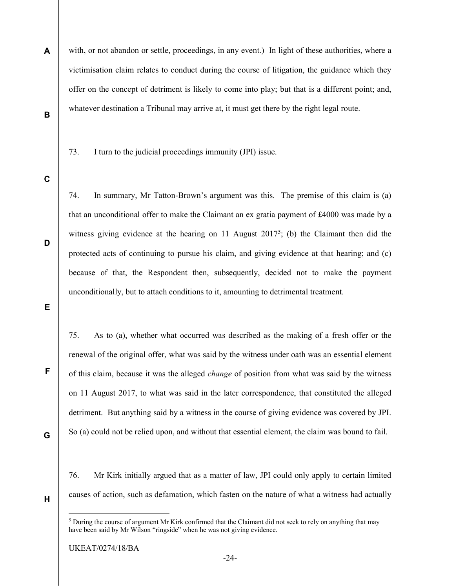- A B with, or not abandon or settle, proceedings, in any event.) In light of these authorities, where a victimisation claim relates to conduct during the course of litigation, the guidance which they offer on the concept of detriment is likely to come into play; but that is a different point; and, whatever destination a Tribunal may arrive at, it must get there by the right legal route.
	- 73. I turn to the judicial proceedings immunity (JPI) issue.
- C

D

E

74. In summary, Mr Tatton-Brown's argument was this. The premise of this claim is (a) that an unconditional offer to make the Claimant an ex gratia payment of £4000 was made by a witness giving evidence at the hearing on 11 August 2017<sup>5</sup>; (b) the Claimant then did the protected acts of continuing to pursue his claim, and giving evidence at that hearing; and (c) because of that, the Respondent then, subsequently, decided not to make the payment unconditionally, but to attach conditions to it, amounting to detrimental treatment.

75. As to (a), whether what occurred was described as the making of a fresh offer or the renewal of the original offer, what was said by the witness under oath was an essential element of this claim, because it was the alleged change of position from what was said by the witness on 11 August 2017, to what was said in the later correspondence, that constituted the alleged detriment. But anything said by a witness in the course of giving evidence was covered by JPI. So (a) could not be relied upon, and without that essential element, the claim was bound to fail.

G

F

76. Mr Kirk initially argued that as a matter of law, JPI could only apply to certain limited causes of action, such as defamation, which fasten on the nature of what a witness had actually

H

-

<sup>&</sup>lt;sup>5</sup> During the course of argument Mr Kirk confirmed that the Claimant did not seek to rely on anything that may have been said by Mr Wilson "ringside" when he was not giving evidence.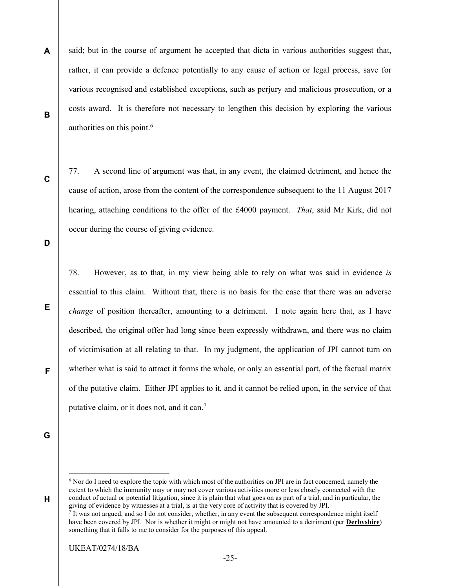A B said; but in the course of argument he accepted that dicta in various authorities suggest that, rather, it can provide a defence potentially to any cause of action or legal process, save for various recognised and established exceptions, such as perjury and malicious prosecution, or a costs award. It is therefore not necessary to lengthen this decision by exploring the various authorities on this point.<sup>6</sup>

C

77. A second line of argument was that, in any event, the claimed detriment, and hence the cause of action, arose from the content of the correspondence subsequent to the 11 August 2017 hearing, attaching conditions to the offer of the £4000 payment. *That*, said Mr Kirk, did not occur during the course of giving evidence.

D

E

78. However, as to that, in my view being able to rely on what was said in evidence is essential to this claim. Without that, there is no basis for the case that there was an adverse change of position thereafter, amounting to a detriment. I note again here that, as I have described, the original offer had long since been expressly withdrawn, and there was no claim of victimisation at all relating to that. In my judgment, the application of JPI cannot turn on whether what is said to attract it forms the whole, or only an essential part, of the factual matrix of the putative claim. Either JPI applies to it, and it cannot be relied upon, in the service of that putative claim, or it does not, and it can.<sup>7</sup>

G

H

 $\overline{a}$ 

F

<sup>&</sup>lt;sup>6</sup> Nor do I need to explore the topic with which most of the authorities on JPI are in fact concerned, namely the extent to which the immunity may or may not cover various activities more or less closely connected with the conduct of actual or potential litigation, since it is plain that what goes on as part of a trial, and in particular, the giving of evidence by witnesses at a trial, is at the very core of activity that is covered by JPI.<br> $7 \text{ It was not argued and so I do not consider whether in any event the subsequent correspond.}$ 

It was not argued, and so I do not consider, whether, in any event the subsequent correspondence might itself have been covered by JPI. Nor is whether it might or might not have amounted to a detriment (per **Derbyshire**) something that it falls to me to consider for the purposes of this appeal.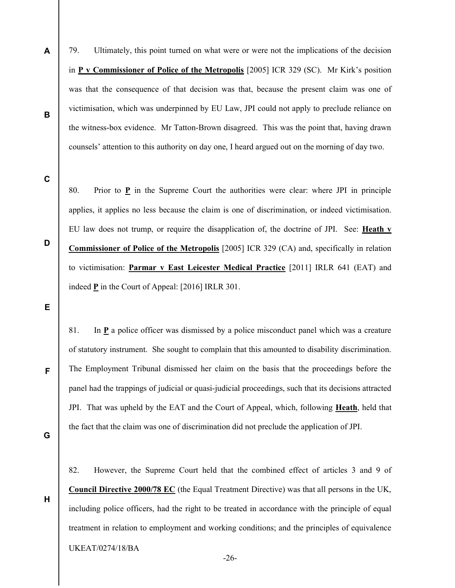79. Ultimately, this point turned on what were or were not the implications of the decision in P v Commissioner of Police of the Metropolis [2005] ICR 329 (SC). Mr Kirk's position was that the consequence of that decision was that, because the present claim was one of victimisation, which was underpinned by EU Law, JPI could not apply to preclude reliance on the witness-box evidence. Mr Tatton-Brown disagreed. This was the point that, having drawn counsels' attention to this authority on day one, I heard argued out on the morning of day two.

C

D

A

B

80. Prior to  $\underline{P}$  in the Supreme Court the authorities were clear: where JPI in principle applies, it applies no less because the claim is one of discrimination, or indeed victimisation. EU law does not trump, or require the disapplication of, the doctrine of JPI. See: Heath v Commissioner of Police of the Metropolis [2005] ICR 329 (CA) and, specifically in relation to victimisation: **Parmar v East Leicester Medical Practice** [2011] IRLR 641 (EAT) and indeed P in the Court of Appeal: [2016] IRLR 301.

E

81. In P a police officer was dismissed by a police misconduct panel which was a creature of statutory instrument. She sought to complain that this amounted to disability discrimination. The Employment Tribunal dismissed her claim on the basis that the proceedings before the panel had the trappings of judicial or quasi-judicial proceedings, such that its decisions attracted JPI. That was upheld by the EAT and the Court of Appeal, which, following Heath, held that the fact that the claim was one of discrimination did not preclude the application of JPI.

G

H

F

82. However, the Supreme Court held that the combined effect of articles 3 and 9 of Council Directive 2000/78 EC (the Equal Treatment Directive) was that all persons in the UK, including police officers, had the right to be treated in accordance with the principle of equal treatment in relation to employment and working conditions; and the principles of equivalence

UKEAT/0274/18/BA

-26-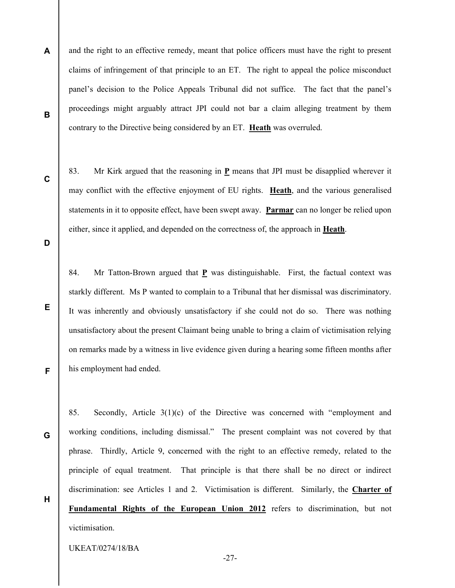A B and the right to an effective remedy, meant that police officers must have the right to present claims of infringement of that principle to an ET. The right to appeal the police misconduct panel's decision to the Police Appeals Tribunal did not suffice. The fact that the panel's proceedings might arguably attract JPI could not bar a claim alleging treatment by them contrary to the Directive being considered by an ET. Heath was overruled.

C

83. Mr Kirk argued that the reasoning in P means that JPI must be disapplied wherever it may conflict with the effective enjoyment of EU rights. **Heath**, and the various generalised statements in it to opposite effect, have been swept away. Parmar can no longer be relied upon either, since it applied, and depended on the correctness of, the approach in Heath.

D

E

F

G

H

84. Mr Tatton-Brown argued that P was distinguishable. First, the factual context was starkly different. Ms P wanted to complain to a Tribunal that her dismissal was discriminatory. It was inherently and obviously unsatisfactory if she could not do so. There was nothing unsatisfactory about the present Claimant being unable to bring a claim of victimisation relying on remarks made by a witness in live evidence given during a hearing some fifteen months after his employment had ended.

85. Secondly, Article 3(1)(c) of the Directive was concerned with "employment and working conditions, including dismissal." The present complaint was not covered by that phrase. Thirdly, Article 9, concerned with the right to an effective remedy, related to the principle of equal treatment. That principle is that there shall be no direct or indirect discrimination: see Articles 1 and 2. Victimisation is different. Similarly, the Charter of Fundamental Rights of the European Union 2012 refers to discrimination, but not victimisation.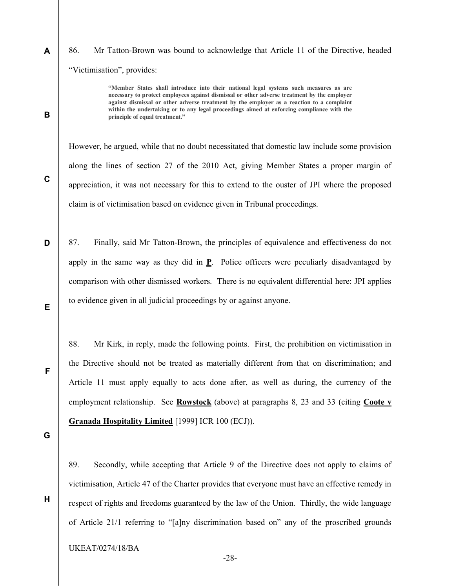86. Mr Tatton-Brown was bound to acknowledge that Article 11 of the Directive, headed "Victimisation", provides:

> "Member States shall introduce into their national legal systems such measures as are necessary to protect employees against dismissal or other adverse treatment by the employer against dismissal or other adverse treatment by the employer as a reaction to a complaint within the undertaking or to any legal proceedings aimed at enforcing compliance with the principle of equal treatment."

However, he argued, while that no doubt necessitated that domestic law include some provision along the lines of section 27 of the 2010 Act, giving Member States a proper margin of appreciation, it was not necessary for this to extend to the ouster of JPI where the proposed claim is of victimisation based on evidence given in Tribunal proceedings.

D E 87. Finally, said Mr Tatton-Brown, the principles of equivalence and effectiveness do not apply in the same way as they did in P. Police officers were peculiarly disadvantaged by comparison with other dismissed workers. There is no equivalent differential here: JPI applies to evidence given in all judicial proceedings by or against anyone.

88. Mr Kirk, in reply, made the following points. First, the prohibition on victimisation in the Directive should not be treated as materially different from that on discrimination; and Article 11 must apply equally to acts done after, as well as during, the currency of the employment relationship. See Rowstock (above) at paragraphs 8, 23 and 33 (citing Coote v Granada Hospitality Limited [1999] ICR 100 (ECJ)).

G

H

F

A

B

C

89. Secondly, while accepting that Article 9 of the Directive does not apply to claims of victimisation, Article 47 of the Charter provides that everyone must have an effective remedy in respect of rights and freedoms guaranteed by the law of the Union. Thirdly, the wide language of Article 21/1 referring to "[a]ny discrimination based on" any of the proscribed grounds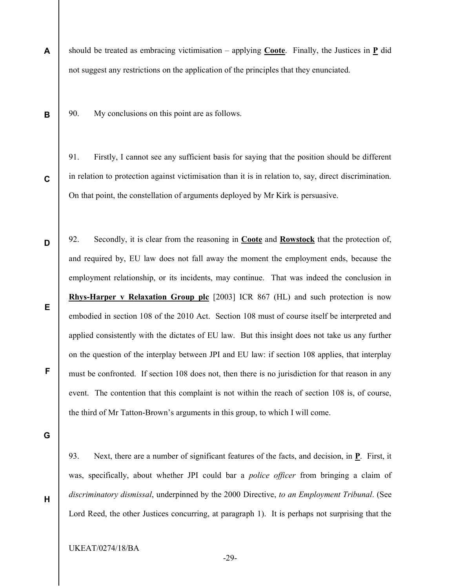A should be treated as embracing victimisation – applying **Coote**. Finally, the Justices in **P** did not suggest any restrictions on the application of the principles that they enunciated.

90. My conclusions on this point are as follows.

91. Firstly, I cannot see any sufficient basis for saying that the position should be different in relation to protection against victimisation than it is in relation to, say, direct discrimination. On that point, the constellation of arguments deployed by Mr Kirk is persuasive.

E 92. Secondly, it is clear from the reasoning in Coote and Rowstock that the protection of, and required by, EU law does not fall away the moment the employment ends, because the employment relationship, or its incidents, may continue. That was indeed the conclusion in Rhys-Harper v Relaxation Group plc [2003] ICR 867 (HL) and such protection is now embodied in section 108 of the 2010 Act. Section 108 must of course itself be interpreted and applied consistently with the dictates of EU law. But this insight does not take us any further on the question of the interplay between JPI and EU law: if section 108 applies, that interplay must be confronted. If section 108 does not, then there is no jurisdiction for that reason in any event. The contention that this complaint is not within the reach of section 108 is, of course, the third of Mr Tatton-Brown's arguments in this group, to which I will come.

G

H

F

B

C

D

93. Next, there are a number of significant features of the facts, and decision, in P. First, it was, specifically, about whether JPI could bar a *police officer* from bringing a claim of discriminatory dismissal, underpinned by the 2000 Directive, to an Employment Tribunal. (See Lord Reed, the other Justices concurring, at paragraph 1). It is perhaps not surprising that the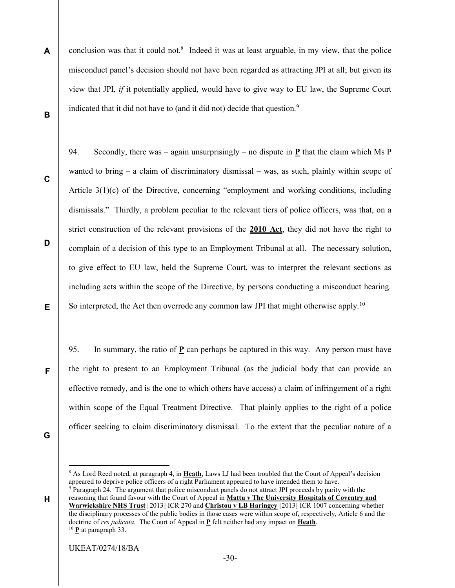- A B conclusion was that it could not.<sup>8</sup> Indeed it was at least arguable, in my view, that the police misconduct panel's decision should not have been regarded as attracting JPI at all; but given its view that JPI, if it potentially applied, would have to give way to EU law, the Supreme Court indicated that it did not have to (and it did not) decide that question.<sup>9</sup>
- C

D

E

94. Secondly, there was – again unsurprisingly – no dispute in **P** that the claim which Ms P wanted to bring – a claim of discriminatory dismissal – was, as such, plainly within scope of Article 3(1)(c) of the Directive, concerning "employment and working conditions, including dismissals." Thirdly, a problem peculiar to the relevant tiers of police officers, was that, on a strict construction of the relevant provisions of the 2010 Act, they did not have the right to complain of a decision of this type to an Employment Tribunal at all. The necessary solution, to give effect to EU law, held the Supreme Court, was to interpret the relevant sections as including acts within the scope of the Directive, by persons conducting a misconduct hearing. So interpreted, the Act then overrode any common law JPI that might otherwise apply.<sup>10</sup>

95. In summary, the ratio of P can perhaps be captured in this way. Any person must have the right to present to an Employment Tribunal (as the judicial body that can provide an effective remedy, and is the one to which others have access) a claim of infringement of a right within scope of the Equal Treatment Directive. That plainly applies to the right of a police officer seeking to claim discriminatory dismissal. To the extent that the peculiar nature of a

F

G

-

H

<sup>&</sup>lt;sup>8</sup> As Lord Reed noted, at paragraph 4, in **Heath**, Laws LJ had been troubled that the Court of Appeal's decision appeared to deprive police officers of a right Parliament appeared to have intended them to have. <sup>9</sup> Paragraph 24. The argument that police misconduct panels do not attract JPI proceeds by parity with the

reasoning that found favour with the Court of Appeal in Mattu v The University Hospitals of Coventry and Warwickshire NHS Trust [2013] ICR 270 and Christou v LB Haringey [2013] ICR 1007 concerning whether the disciplinary processes of the public bodies in those cases were within scope of, respectively, Article 6 and the doctrine of res judicata. The Court of Appeal in P felt neither had any impact on Heath. <sup>10</sup> **P** at paragraph 33.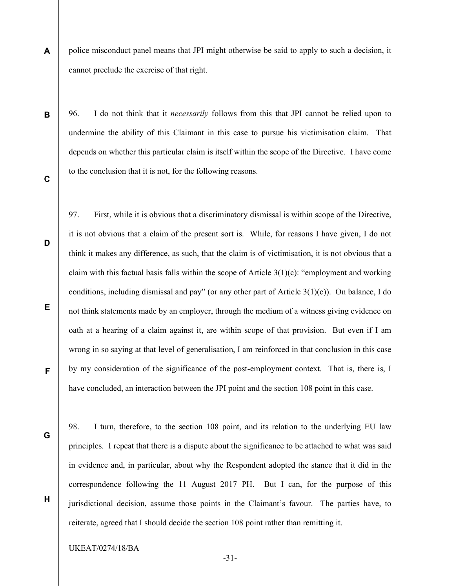A police misconduct panel means that JPI might otherwise be said to apply to such a decision, it cannot preclude the exercise of that right.

B

96. I do not think that it necessarily follows from this that JPI cannot be relied upon to undermine the ability of this Claimant in this case to pursue his victimisation claim. That depends on whether this particular claim is itself within the scope of the Directive. I have come to the conclusion that it is not, for the following reasons.

C

D

97. First, while it is obvious that a discriminatory dismissal is within scope of the Directive, it is not obvious that a claim of the present sort is. While, for reasons I have given, I do not think it makes any difference, as such, that the claim is of victimisation, it is not obvious that a claim with this factual basis falls within the scope of Article  $3(1)(c)$ : "employment and working conditions, including dismissal and pay" (or any other part of Article  $3(1)(c)$ ). On balance, I do not think statements made by an employer, through the medium of a witness giving evidence on oath at a hearing of a claim against it, are within scope of that provision. But even if I am wrong in so saying at that level of generalisation, I am reinforced in that conclusion in this case by my consideration of the significance of the post-employment context. That is, there is, I have concluded, an interaction between the JPI point and the section 108 point in this case.

E

F

G

H

98. I turn, therefore, to the section 108 point, and its relation to the underlying EU law principles. I repeat that there is a dispute about the significance to be attached to what was said in evidence and, in particular, about why the Respondent adopted the stance that it did in the correspondence following the 11 August 2017 PH. But I can, for the purpose of this jurisdictional decision, assume those points in the Claimant's favour. The parties have, to reiterate, agreed that I should decide the section 108 point rather than remitting it.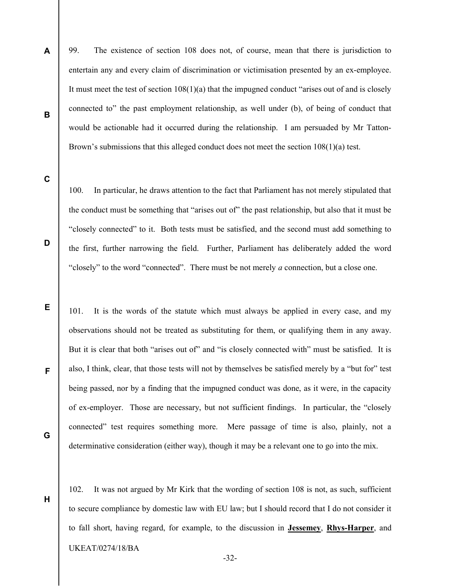99. The existence of section 108 does not, of course, mean that there is jurisdiction to entertain any and every claim of discrimination or victimisation presented by an ex-employee. It must meet the test of section 108(1)(a) that the impugned conduct "arises out of and is closely connected to" the past employment relationship, as well under (b), of being of conduct that would be actionable had it occurred during the relationship. I am persuaded by Mr Tatton-Brown's submissions that this alleged conduct does not meet the section 108(1)(a) test.

C

D

E

F

G

H

A

B

100. In particular, he draws attention to the fact that Parliament has not merely stipulated that the conduct must be something that "arises out of" the past relationship, but also that it must be "closely connected" to it. Both tests must be satisfied, and the second must add something to the first, further narrowing the field. Further, Parliament has deliberately added the word "closely" to the word "connected". There must be not merely a connection, but a close one.

101. It is the words of the statute which must always be applied in every case, and my observations should not be treated as substituting for them, or qualifying them in any away. But it is clear that both "arises out of" and "is closely connected with" must be satisfied. It is also, I think, clear, that those tests will not by themselves be satisfied merely by a "but for" test being passed, nor by a finding that the impugned conduct was done, as it were, in the capacity of ex-employer. Those are necessary, but not sufficient findings. In particular, the "closely connected" test requires something more. Mere passage of time is also, plainly, not a determinative consideration (either way), though it may be a relevant one to go into the mix.

UKEAT/0274/18/BA 102. It was not argued by Mr Kirk that the wording of section 108 is not, as such, sufficient to secure compliance by domestic law with EU law; but I should record that I do not consider it to fall short, having regard, for example, to the discussion in Jessemey, Rhys-Harper, and

-32-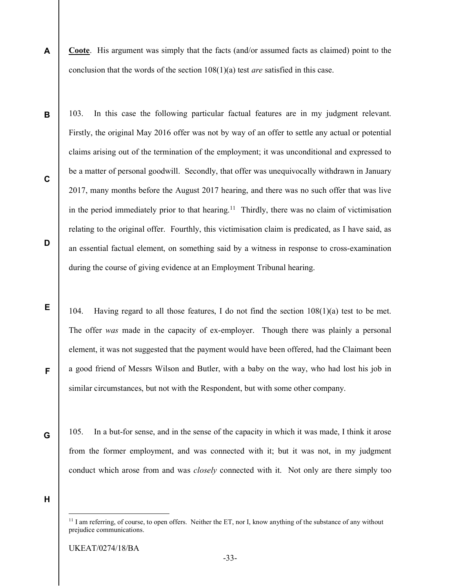- A Coote. His argument was simply that the facts (and/or assumed facts as claimed) point to the conclusion that the words of the section  $108(1)(a)$  test *are* satisfied in this case.
- B C D 103. In this case the following particular factual features are in my judgment relevant. Firstly, the original May 2016 offer was not by way of an offer to settle any actual or potential claims arising out of the termination of the employment; it was unconditional and expressed to be a matter of personal goodwill. Secondly, that offer was unequivocally withdrawn in January 2017, many months before the August 2017 hearing, and there was no such offer that was live in the period immediately prior to that hearing.<sup>11</sup> Thirdly, there was no claim of victimisation relating to the original offer. Fourthly, this victimisation claim is predicated, as I have said, as an essential factual element, on something said by a witness in response to cross-examination during the course of giving evidence at an Employment Tribunal hearing.
	- 104. Having regard to all those features, I do not find the section  $108(1)(a)$  test to be met. The offer was made in the capacity of ex-employer. Though there was plainly a personal element, it was not suggested that the payment would have been offered, had the Claimant been a good friend of Messrs Wilson and Butler, with a baby on the way, who had lost his job in similar circumstances, but not with the Respondent, but with some other company.
		- 105. In a but-for sense, and in the sense of the capacity in which it was made, I think it arose from the former employment, and was connected with it; but it was not, in my judgment conduct which arose from and was *closely* connected with it. Not only are there simply too

H

-

E

F

G

 $11$  I am referring, of course, to open offers. Neither the ET, nor I, know anything of the substance of any without prejudice communications.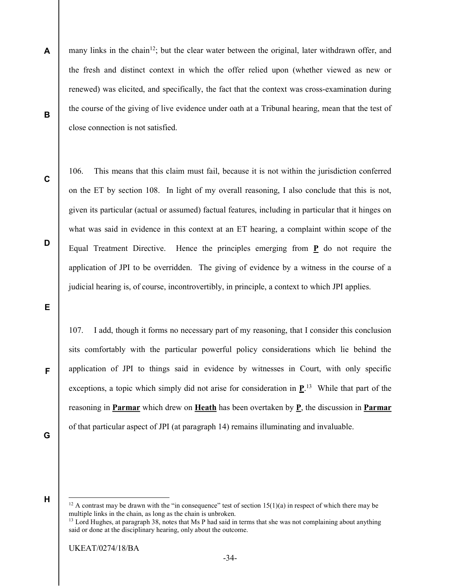A B many links in the chain<sup>12</sup>; but the clear water between the original, later withdrawn offer, and the fresh and distinct context in which the offer relied upon (whether viewed as new or renewed) was elicited, and specifically, the fact that the context was cross-examination during the course of the giving of live evidence under oath at a Tribunal hearing, mean that the test of close connection is not satisfied.

C

D

106. This means that this claim must fail, because it is not within the jurisdiction conferred on the ET by section 108. In light of my overall reasoning, I also conclude that this is not, given its particular (actual or assumed) factual features, including in particular that it hinges on what was said in evidence in this context at an ET hearing, a complaint within scope of the Equal Treatment Directive. Hence the principles emerging from P do not require the application of JPI to be overridden. The giving of evidence by a witness in the course of a judicial hearing is, of course, incontrovertibly, in principle, a context to which JPI applies.

E

107. I add, though it forms no necessary part of my reasoning, that I consider this conclusion sits comfortably with the particular powerful policy considerations which lie behind the application of JPI to things said in evidence by witnesses in Court, with only specific exceptions, a topic which simply did not arise for consideration in  $\mathbf{P}^{13}$ . While that part of the reasoning in Parmar which drew on Heath has been overtaken by P, the discussion in Parmar of that particular aspect of JPI (at paragraph 14) remains illuminating and invaluable.

G

F

H

 $\overline{a}$ 

<sup>&</sup>lt;sup>12</sup> A contrast may be drawn with the "in consequence" test of section  $15(1)(a)$  in respect of which there may be multiple links in the chain, as long as the chain is unbroken.

<sup>&</sup>lt;sup>13</sup> Lord Hughes, at paragraph 38, notes that Ms P had said in terms that she was not complaining about anything said or done at the disciplinary hearing, only about the outcome.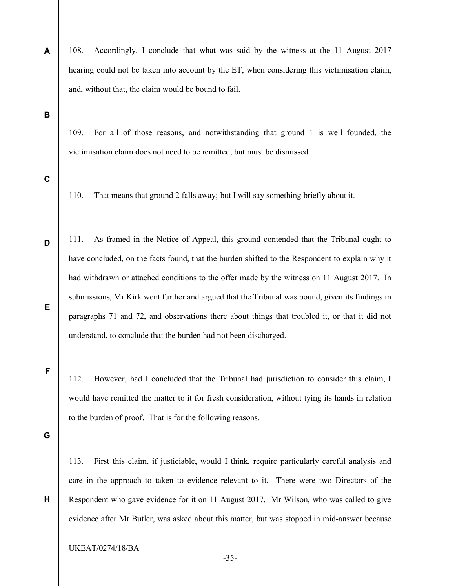- 108. Accordingly, I conclude that what was said by the witness at the 11 August 2017 hearing could not be taken into account by the ET, when considering this victimisation claim, and, without that, the claim would be bound to fail.
- B

A

109. For all of those reasons, and notwithstanding that ground 1 is well founded, the victimisation claim does not need to be remitted, but must be dismissed.

C

D

E

F

110. That means that ground 2 falls away; but I will say something briefly about it.

111. As framed in the Notice of Appeal, this ground contended that the Tribunal ought to have concluded, on the facts found, that the burden shifted to the Respondent to explain why it had withdrawn or attached conditions to the offer made by the witness on 11 August 2017. In submissions, Mr Kirk went further and argued that the Tribunal was bound, given its findings in paragraphs 71 and 72, and observations there about things that troubled it, or that it did not understand, to conclude that the burden had not been discharged.

112. However, had I concluded that the Tribunal had jurisdiction to consider this claim, I would have remitted the matter to it for fresh consideration, without tying its hands in relation to the burden of proof. That is for the following reasons.

G

H

113. First this claim, if justiciable, would I think, require particularly careful analysis and care in the approach to taken to evidence relevant to it. There were two Directors of the Respondent who gave evidence for it on 11 August 2017. Mr Wilson, who was called to give evidence after Mr Butler, was asked about this matter, but was stopped in mid-answer because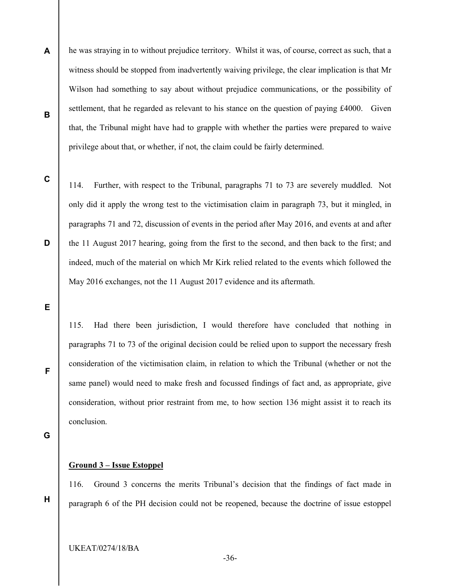- A B he was straying in to without prejudice territory. Whilst it was, of course, correct as such, that a witness should be stopped from inadvertently waiving privilege, the clear implication is that Mr Wilson had something to say about without prejudice communications, or the possibility of settlement, that he regarded as relevant to his stance on the question of paying £4000. Given that, the Tribunal might have had to grapple with whether the parties were prepared to waive privilege about that, or whether, if not, the claim could be fairly determined.
- C

D

114. Further, with respect to the Tribunal, paragraphs 71 to 73 are severely muddled. Not only did it apply the wrong test to the victimisation claim in paragraph 73, but it mingled, in paragraphs 71 and 72, discussion of events in the period after May 2016, and events at and after the 11 August 2017 hearing, going from the first to the second, and then back to the first; and indeed, much of the material on which Mr Kirk relied related to the events which followed the May 2016 exchanges, not the 11 August 2017 evidence and its aftermath.

E

115. Had there been jurisdiction, I would therefore have concluded that nothing in paragraphs 71 to 73 of the original decision could be relied upon to support the necessary fresh consideration of the victimisation claim, in relation to which the Tribunal (whether or not the same panel) would need to make fresh and focussed findings of fact and, as appropriate, give consideration, without prior restraint from me, to how section 136 might assist it to reach its conclusion.

G

H

F

#### Ground 3 – Issue Estoppel

116. Ground 3 concerns the merits Tribunal's decision that the findings of fact made in paragraph 6 of the PH decision could not be reopened, because the doctrine of issue estoppel

UKEAT/0274/18/BA

-36-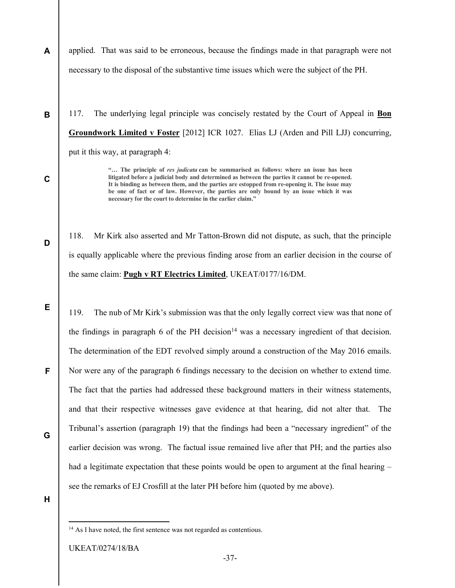A applied. That was said to be erroneous, because the findings made in that paragraph were not necessary to the disposal of the substantive time issues which were the subject of the PH.

117. The underlying legal principle was concisely restated by the Court of Appeal in Bon Groundwork Limited v Foster [2012] ICR 1027. Elias LJ (Arden and Pill LJJ) concurring, put it this way, at paragraph 4:

> "... The principle of res judicata can be summarised as follows: where an issue has been litigated before a judicial body and determined as between the parties it cannot be re-opened. It is binding as between them, and the parties are estopped from re-opening it. The issue may be one of fact or of law. However, the parties are only bound by an issue which it was necessary for the court to determine in the earlier claim."

118. Mr Kirk also asserted and Mr Tatton-Brown did not dispute, as such, that the principle is equally applicable where the previous finding arose from an earlier decision in the course of the same claim: Pugh v RT Electrics Limited, UKEAT/0177/16/DM.

119. The nub of Mr Kirk's submission was that the only legally correct view was that none of the findings in paragraph 6 of the PH decision<sup>14</sup> was a necessary ingredient of that decision. The determination of the EDT revolved simply around a construction of the May 2016 emails. Nor were any of the paragraph 6 findings necessary to the decision on whether to extend time. The fact that the parties had addressed these background matters in their witness statements, and that their respective witnesses gave evidence at that hearing, did not alter that. The Tribunal's assertion (paragraph 19) that the findings had been a "necessary ingredient" of the earlier decision was wrong. The factual issue remained live after that PH; and the parties also had a legitimate expectation that these points would be open to argument at the final hearing – see the remarks of EJ Crosfill at the later PH before him (quoted by me above).

H

-

B

C

D

E

F

G

<sup>&</sup>lt;sup>14</sup> As I have noted, the first sentence was not regarded as contentious.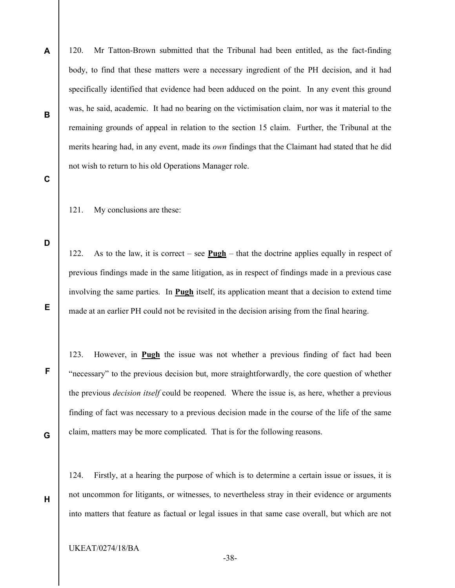120. Mr Tatton-Brown submitted that the Tribunal had been entitled, as the fact-finding body, to find that these matters were a necessary ingredient of the PH decision, and it had specifically identified that evidence had been adduced on the point. In any event this ground was, he said, academic. It had no bearing on the victimisation claim, nor was it material to the remaining grounds of appeal in relation to the section 15 claim. Further, the Tribunal at the merits hearing had, in any event, made its own findings that the Claimant had stated that he did not wish to return to his old Operations Manager role.

#### C

A

B

121. My conclusions are these:

D

E

122. As to the law, it is correct – see  $\frac{\text{Pugh}}{\text{1}}$  – that the doctrine applies equally in respect of previous findings made in the same litigation, as in respect of findings made in a previous case involving the same parties. In **Pugh** itself, its application meant that a decision to extend time made at an earlier PH could not be revisited in the decision arising from the final hearing.

123. However, in Pugh the issue was not whether a previous finding of fact had been "necessary" to the previous decision but, more straightforwardly, the core question of whether the previous *decision itself* could be reopened. Where the issue is, as here, whether a previous finding of fact was necessary to a previous decision made in the course of the life of the same claim, matters may be more complicated. That is for the following reasons.

G

H

F

124. Firstly, at a hearing the purpose of which is to determine a certain issue or issues, it is not uncommon for litigants, or witnesses, to nevertheless stray in their evidence or arguments into matters that feature as factual or legal issues in that same case overall, but which are not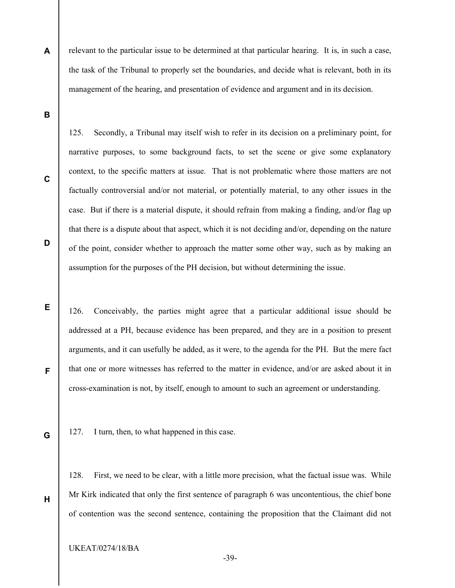A relevant to the particular issue to be determined at that particular hearing. It is, in such a case, the task of the Tribunal to properly set the boundaries, and decide what is relevant, both in its management of the hearing, and presentation of evidence and argument and in its decision.

B

C

D

E

F

125. Secondly, a Tribunal may itself wish to refer in its decision on a preliminary point, for narrative purposes, to some background facts, to set the scene or give some explanatory context, to the specific matters at issue. That is not problematic where those matters are not factually controversial and/or not material, or potentially material, to any other issues in the case. But if there is a material dispute, it should refrain from making a finding, and/or flag up that there is a dispute about that aspect, which it is not deciding and/or, depending on the nature of the point, consider whether to approach the matter some other way, such as by making an assumption for the purposes of the PH decision, but without determining the issue.

126. Conceivably, the parties might agree that a particular additional issue should be addressed at a PH, because evidence has been prepared, and they are in a position to present arguments, and it can usefully be added, as it were, to the agenda for the PH. But the mere fact that one or more witnesses has referred to the matter in evidence, and/or are asked about it in cross-examination is not, by itself, enough to amount to such an agreement or understanding.

G

H

127. I turn, then, to what happened in this case.

128. First, we need to be clear, with a little more precision, what the factual issue was. While Mr Kirk indicated that only the first sentence of paragraph 6 was uncontentious, the chief bone of contention was the second sentence, containing the proposition that the Claimant did not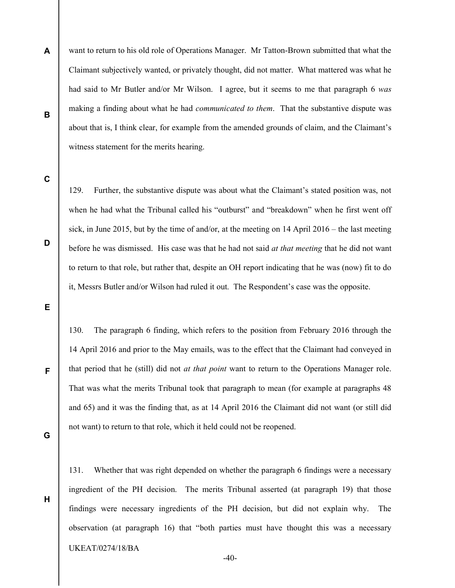want to return to his old role of Operations Manager. Mr Tatton-Brown submitted that what the Claimant subjectively wanted, or privately thought, did not matter. What mattered was what he had said to Mr Butler and/or Mr Wilson. I agree, but it seems to me that paragraph 6 was making a finding about what he had *communicated to them*. That the substantive dispute was about that is, I think clear, for example from the amended grounds of claim, and the Claimant's witness statement for the merits hearing.

C

D

A

B

129. Further, the substantive dispute was about what the Claimant's stated position was, not when he had what the Tribunal called his "outburst" and "breakdown" when he first went off sick, in June 2015, but by the time of and/or, at the meeting on 14 April 2016 – the last meeting before he was dismissed. His case was that he had not said *at that meeting* that he did not want to return to that role, but rather that, despite an OH report indicating that he was (now) fit to do it, Messrs Butler and/or Wilson had ruled it out. The Respondent's case was the opposite.

E

130. The paragraph 6 finding, which refers to the position from February 2016 through the 14 April 2016 and prior to the May emails, was to the effect that the Claimant had conveyed in that period that he (still) did not at that point want to return to the Operations Manager role. That was what the merits Tribunal took that paragraph to mean (for example at paragraphs 48 and 65) and it was the finding that, as at 14 April 2016 the Claimant did not want (or still did not want) to return to that role, which it held could not be reopened.

G

F

H

131. Whether that was right depended on whether the paragraph 6 findings were a necessary ingredient of the PH decision. The merits Tribunal asserted (at paragraph 19) that those findings were necessary ingredients of the PH decision, but did not explain why. The observation (at paragraph 16) that "both parties must have thought this was a necessary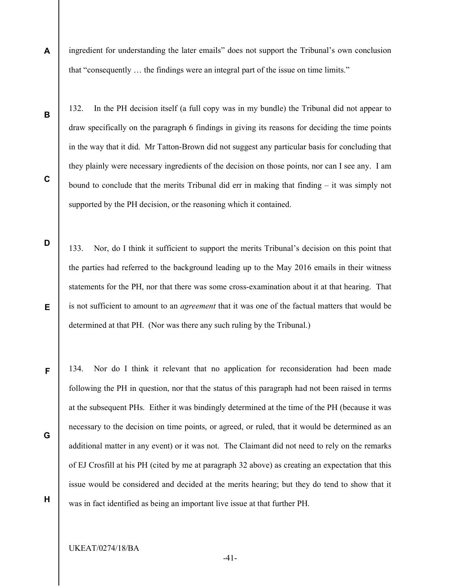A ingredient for understanding the later emails" does not support the Tribunal's own conclusion that "consequently … the findings were an integral part of the issue on time limits."

132. In the PH decision itself (a full copy was in my bundle) the Tribunal did not appear to draw specifically on the paragraph 6 findings in giving its reasons for deciding the time points in the way that it did. Mr Tatton-Brown did not suggest any particular basis for concluding that they plainly were necessary ingredients of the decision on those points, nor can I see any. I am bound to conclude that the merits Tribunal did err in making that finding  $-$  it was simply not supported by the PH decision, or the reasoning which it contained.

133. Nor, do I think it sufficient to support the merits Tribunal's decision on this point that the parties had referred to the background leading up to the May 2016 emails in their witness statements for the PH, nor that there was some cross-examination about it at that hearing. That is not sufficient to amount to an agreement that it was one of the factual matters that would be determined at that PH. (Nor was there any such ruling by the Tribunal.)

134. Nor do I think it relevant that no application for reconsideration had been made following the PH in question, nor that the status of this paragraph had not been raised in terms at the subsequent PHs. Either it was bindingly determined at the time of the PH (because it was necessary to the decision on time points, or agreed, or ruled, that it would be determined as an additional matter in any event) or it was not. The Claimant did not need to rely on the remarks of EJ Crosfill at his PH (cited by me at paragraph 32 above) as creating an expectation that this issue would be considered and decided at the merits hearing; but they do tend to show that it was in fact identified as being an important live issue at that further PH.

G

B

C

D

E

F

H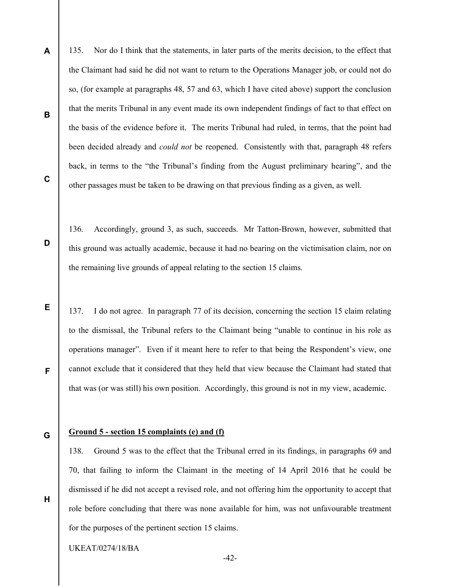A 135. Nor do I think that the statements, in later parts of the merits decision, to the effect that the Claimant had said he did not want to return to the Operations Manager job, or could not do so, (for example at paragraphs 48, 57 and 63, which I have cited above) support the conclusion that the merits Tribunal in any event made its own independent findings of fact to that effect on the basis of the evidence before it. The merits Tribunal had ruled, in terms, that the point had been decided already and *could not* be reopened. Consistently with that, paragraph 48 refers back, in terms to the "the Tribunal's finding from the August preliminary hearing", and the other passages must be taken to be drawing on that previous finding as a given, as well.

C

B

D

E

F

136. Accordingly, ground 3, as such, succeeds. Mr Tatton-Brown, however, submitted that this ground was actually academic, because it had no bearing on the victimisation claim, nor on the remaining live grounds of appeal relating to the section 15 claims.

137. I do not agree. In paragraph 77 of its decision, concerning the section 15 claim relating to the dismissal, the Tribunal refers to the Claimant being "unable to continue in his role as operations manager". Even if it meant here to refer to that being the Respondent's view, one cannot exclude that it considered that they held that view because the Claimant had stated that that was (or was still) his own position. Accordingly, this ground is not in my view, academic.

G

H

### Ground 5 - section 15 complaints (e) and (f)

138. Ground 5 was to the effect that the Tribunal erred in its findings, in paragraphs 69 and 70, that failing to inform the Claimant in the meeting of 14 April 2016 that he could be dismissed if he did not accept a revised role, and not offering him the opportunity to accept that role before concluding that there was none available for him, was not unfavourable treatment for the purposes of the pertinent section 15 claims.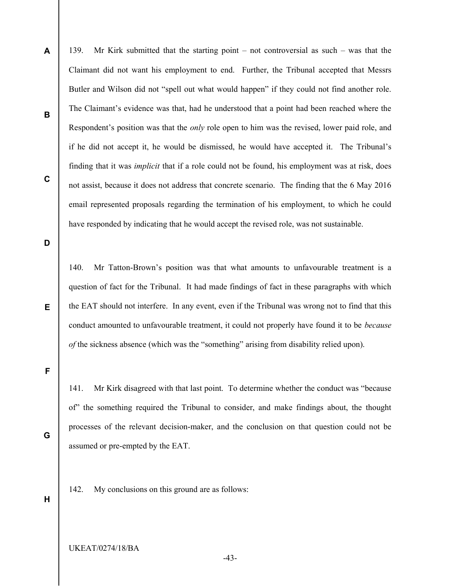A B C 139. Mr Kirk submitted that the starting point – not controversial as such – was that the Claimant did not want his employment to end. Further, the Tribunal accepted that Messrs Butler and Wilson did not "spell out what would happen" if they could not find another role. The Claimant's evidence was that, had he understood that a point had been reached where the Respondent's position was that the *only* role open to him was the revised, lower paid role, and if he did not accept it, he would be dismissed, he would have accepted it. The Tribunal's finding that it was implicit that if a role could not be found, his employment was at risk, does not assist, because it does not address that concrete scenario. The finding that the 6 May 2016 email represented proposals regarding the termination of his employment, to which he could have responded by indicating that he would accept the revised role, was not sustainable.

D

E

140. Mr Tatton-Brown's position was that what amounts to unfavourable treatment is a question of fact for the Tribunal. It had made findings of fact in these paragraphs with which the EAT should not interfere. In any event, even if the Tribunal was wrong not to find that this conduct amounted to unfavourable treatment, it could not properly have found it to be *because* of the sickness absence (which was the "something" arising from disability relied upon).

F

141. Mr Kirk disagreed with that last point. To determine whether the conduct was "because of" the something required the Tribunal to consider, and make findings about, the thought processes of the relevant decision-maker, and the conclusion on that question could not be assumed or pre-empted by the EAT.

142. My conclusions on this ground are as follows:

H

G

UKEAT/0274/18/BA

-43-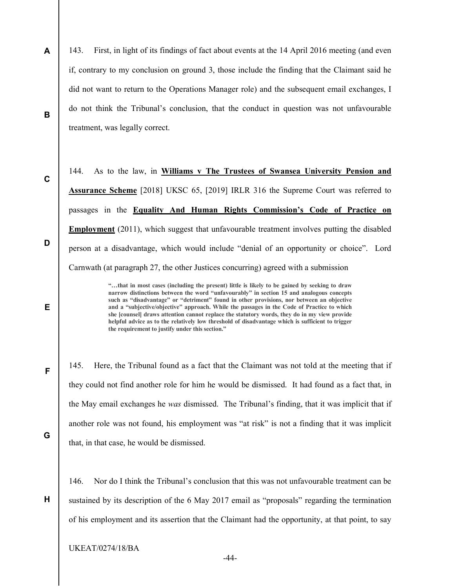- A 143. First, in light of its findings of fact about events at the 14 April 2016 meeting (and even if, contrary to my conclusion on ground 3, those include the finding that the Claimant said he did not want to return to the Operations Manager role) and the subsequent email exchanges, I do not think the Tribunal's conclusion, that the conduct in question was not unfavourable treatment, was legally correct.
	- 144. As to the law, in Williams v The Trustees of Swansea University Pension and Assurance Scheme [2018] UKSC 65, [2019] IRLR 316 the Supreme Court was referred to passages in the Equality And Human Rights Commission's Code of Practice on Employment (2011), which suggest that unfavourable treatment involves putting the disabled person at a disadvantage, which would include "denial of an opportunity or choice". Lord Carnwath (at paragraph 27, the other Justices concurring) agreed with a submission

"…that in most cases (including the present) little is likely to be gained by seeking to draw narrow distinctions between the word "unfavourably" in section 15 and analogous concepts such as "disadvantage" or "detriment" found in other provisions, nor between an objective and a "subjective/objective" approach. While the passages in the Code of Practice to which she [counsel] draws attention cannot replace the statutory words, they do in my view provide helpful advice as to the relatively low threshold of disadvantage which is sufficient to trigger the requirement to justify under this section."

145. Here, the Tribunal found as a fact that the Claimant was not told at the meeting that if they could not find another role for him he would be dismissed. It had found as a fact that, in the May email exchanges he was dismissed. The Tribunal's finding, that it was implicit that if another role was not found, his employment was "at risk" is not a finding that it was implicit that, in that case, he would be dismissed.

146. Nor do I think the Tribunal's conclusion that this was not unfavourable treatment can be sustained by its description of the 6 May 2017 email as "proposals" regarding the termination of his employment and its assertion that the Claimant had the opportunity, at that point, to say

B

C

D

F

G

H

E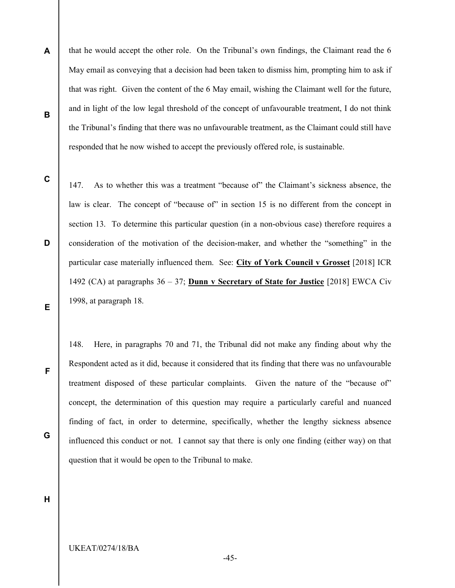- A B that he would accept the other role. On the Tribunal's own findings, the Claimant read the 6 May email as conveying that a decision had been taken to dismiss him, prompting him to ask if that was right. Given the content of the 6 May email, wishing the Claimant well for the future, and in light of the low legal threshold of the concept of unfavourable treatment, I do not think the Tribunal's finding that there was no unfavourable treatment, as the Claimant could still have responded that he now wished to accept the previously offered role, is sustainable.
- C

D

147. As to whether this was a treatment "because of" the Claimant's sickness absence, the law is clear. The concept of "because of" in section 15 is no different from the concept in section 13. To determine this particular question (in a non-obvious case) therefore requires a consideration of the motivation of the decision-maker, and whether the "something" in the particular case materially influenced them. See: City of York Council v Grosset [2018] ICR 1492 (CA) at paragraphs  $36 - 37$ ; **Dunn v Secretary of State for Justice** [2018] EWCA Civ 1998, at paragraph 18.

E

F

G

148. Here, in paragraphs 70 and 71, the Tribunal did not make any finding about why the Respondent acted as it did, because it considered that its finding that there was no unfavourable treatment disposed of these particular complaints. Given the nature of the "because of" concept, the determination of this question may require a particularly careful and nuanced finding of fact, in order to determine, specifically, whether the lengthy sickness absence influenced this conduct or not. I cannot say that there is only one finding (either way) on that question that it would be open to the Tribunal to make.

H

-45-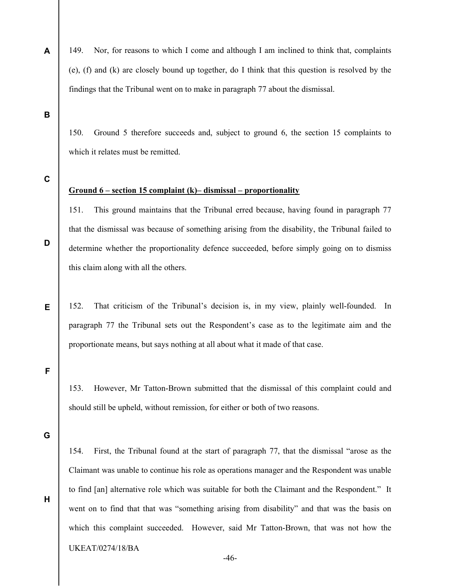149. Nor, for reasons to which I come and although I am inclined to think that, complaints (e), (f) and (k) are closely bound up together, do I think that this question is resolved by the findings that the Tribunal went on to make in paragraph 77 about the dismissal.

B

A

150. Ground 5 therefore succeeds and, subject to ground 6, the section 15 complaints to which it relates must be remitted.

C

D

E

#### Ground 6 – section 15 complaint (k)– dismissal – proportionality

151. This ground maintains that the Tribunal erred because, having found in paragraph 77 that the dismissal was because of something arising from the disability, the Tribunal failed to determine whether the proportionality defence succeeded, before simply going on to dismiss this claim along with all the others.

152. That criticism of the Tribunal's decision is, in my view, plainly well-founded. In paragraph 77 the Tribunal sets out the Respondent's case as to the legitimate aim and the proportionate means, but says nothing at all about what it made of that case.

F

153. However, Mr Tatton-Brown submitted that the dismissal of this complaint could and should still be upheld, without remission, for either or both of two reasons.

G

H

154. First, the Tribunal found at the start of paragraph 77, that the dismissal "arose as the Claimant was unable to continue his role as operations manager and the Respondent was unable to find [an] alternative role which was suitable for both the Claimant and the Respondent." It went on to find that that was "something arising from disability" and that was the basis on which this complaint succeeded. However, said Mr Tatton-Brown, that was not how the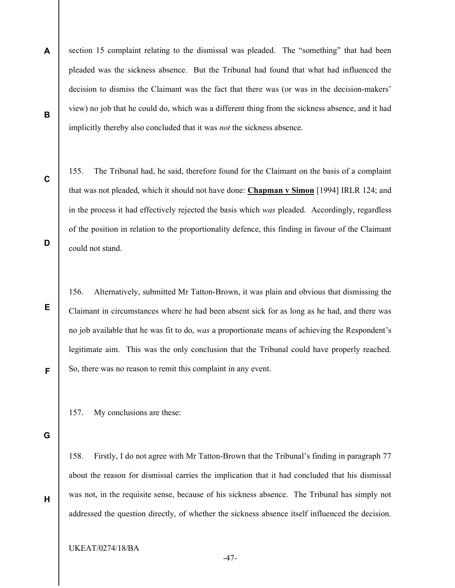- A B section 15 complaint relating to the dismissal was pleaded. The "something" that had been pleaded was the sickness absence. But the Tribunal had found that what had influenced the decision to dismiss the Claimant was the fact that there was (or was in the decision-makers' view) no job that he could do, which was a different thing from the sickness absence, and it had implicitly thereby also concluded that it was not the sickness absence.
	- 155. The Tribunal had, he said, therefore found for the Claimant on the basis of a complaint that was not pleaded, which it should not have done: Chapman v Simon [1994] IRLR 124; and in the process it had effectively rejected the basis which was pleaded. Accordingly, regardless of the position in relation to the proportionality defence, this finding in favour of the Claimant could not stand.

156. Alternatively, submitted Mr Tatton-Brown, it was plain and obvious that dismissing the Claimant in circumstances where he had been absent sick for as long as he had, and there was no job available that he was fit to do, was a proportionate means of achieving the Respondent's legitimate aim. This was the only conclusion that the Tribunal could have properly reached. So, there was no reason to remit this complaint in any event.

157. My conclusions are these:

G

H

C

D

E

F

158. Firstly, I do not agree with Mr Tatton-Brown that the Tribunal's finding in paragraph 77 about the reason for dismissal carries the implication that it had concluded that his dismissal was not, in the requisite sense, because of his sickness absence. The Tribunal has simply not addressed the question directly, of whether the sickness absence itself influenced the decision.

-47-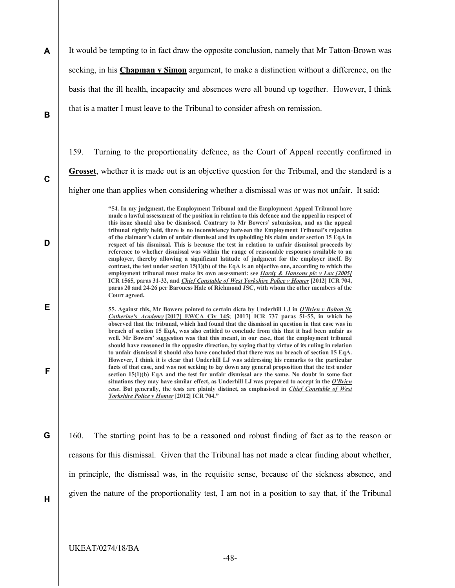A B It would be tempting to in fact draw the opposite conclusion, namely that Mr Tatton-Brown was seeking, in his **Chapman v Simon** argument, to make a distinction without a difference, on the basis that the ill health, incapacity and absences were all bound up together. However, I think that is a matter I must leave to the Tribunal to consider afresh on remission.

159. Turning to the proportionality defence, as the Court of Appeal recently confirmed in Grosset, whether it is made out is an objective question for the Tribunal, and the standard is a higher one than applies when considering whether a dismissal was or was not unfair. It said:

> "54. In my judgment, the Employment Tribunal and the Employment Appeal Tribunal have made a lawful assessment of the position in relation to this defence and the appeal in respect of this issue should also be dismissed. Contrary to Mr Bowers' submission, and as the appeal tribunal rightly held, there is no inconsistency between the Employment Tribunal's rejection of the claimant's claim of unfair dismissal and its upholding his claim under section 15 EqA in respect of his dismissal. This is because the test in relation to unfair dismissal proceeds by reference to whether dismissal was within the range of reasonable responses available to an employer, thereby allowing a significant latitude of judgment for the employer itself. By contrast, the test under section  $15(1)(b)$  of the EqA is an objective one, according to which the employment tribunal must make its own assessment: see *Hardy & Hansons plc v Lax [2005]* ICR 1565, paras 31-32, and *Chief Constable of West Yorkshire Police v Homer* [2012] ICR 704, paras 20 and 24-26 per Baroness Hale of Richmond JSC, with whom the other members of the Court agreed.

55. Against this, Mr Bowers pointed to certain dicta by Underhill LJ in O'Brien v Bolton St. Catherine's Academy [2017] EWCA Civ 145; [2017] ICR 737 paras 51-55, in which he observed that the tribunal, which had found that the dismissal in question in that case was in breach of section 15 EqA, was also entitled to conclude from this that it had been unfair as well. Mr Bowers' suggestion was that this meant, in our case, that the employment tribunal should have reasoned in the opposite direction, by saying that by virtue of its ruling in relation to unfair dismissal it should also have concluded that there was no breach of section 15 EqA. However, I think it is clear that Underhill LJ was addressing his remarks to the particular facts of that case, and was not seeking to lay down any general proposition that the test under section 15(1)(b) EqA and the test for unfair dismissal are the same. No doubt in some fact situations they may have similar effect, as Underhill LJ was prepared to accept in the  $O'Brien$ case. But generally, the tests are plainly distinct, as emphasised in *Chief Constable of West* Yorkshire Police v Homer [2012] ICR 704."

160. The starting point has to be a reasoned and robust finding of fact as to the reason or reasons for this dismissal. Given that the Tribunal has not made a clear finding about whether, in principle, the dismissal was, in the requisite sense, because of the sickness absence, and given the nature of the proportionality test, I am not in a position to say that, if the Tribunal

H

C

D

E

F

G

UKEAT/0274/18/BA

-48-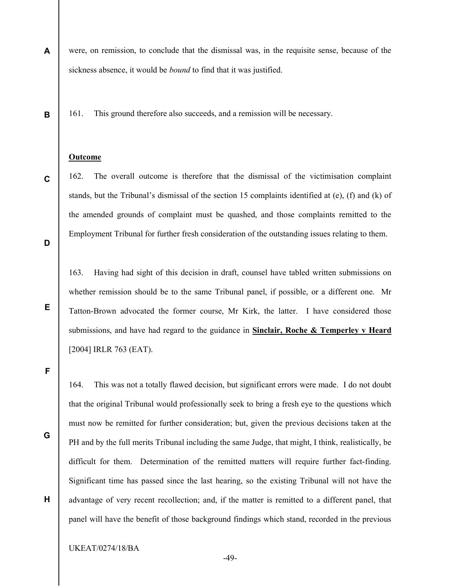A were, on remission, to conclude that the dismissal was, in the requisite sense, because of the sickness absence, it would be bound to find that it was justified.

161. This ground therefore also succeeds, and a remission will be necessary.

#### Outcome

162. The overall outcome is therefore that the dismissal of the victimisation complaint stands, but the Tribunal's dismissal of the section 15 complaints identified at (e), (f) and (k) of the amended grounds of complaint must be quashed, and those complaints remitted to the Employment Tribunal for further fresh consideration of the outstanding issues relating to them.

D

E

B

C

163. Having had sight of this decision in draft, counsel have tabled written submissions on whether remission should be to the same Tribunal panel, if possible, or a different one. Mr Tatton-Brown advocated the former course, Mr Kirk, the latter. I have considered those submissions, and have had regard to the guidance in Sinclair, Roche & Temperley v Heard [2004] IRLR 763 (EAT).

F

G

H

164. This was not a totally flawed decision, but significant errors were made. I do not doubt that the original Tribunal would professionally seek to bring a fresh eye to the questions which must now be remitted for further consideration; but, given the previous decisions taken at the PH and by the full merits Tribunal including the same Judge, that might, I think, realistically, be difficult for them. Determination of the remitted matters will require further fact-finding. Significant time has passed since the last hearing, so the existing Tribunal will not have the advantage of very recent recollection; and, if the matter is remitted to a different panel, that panel will have the benefit of those background findings which stand, recorded in the previous